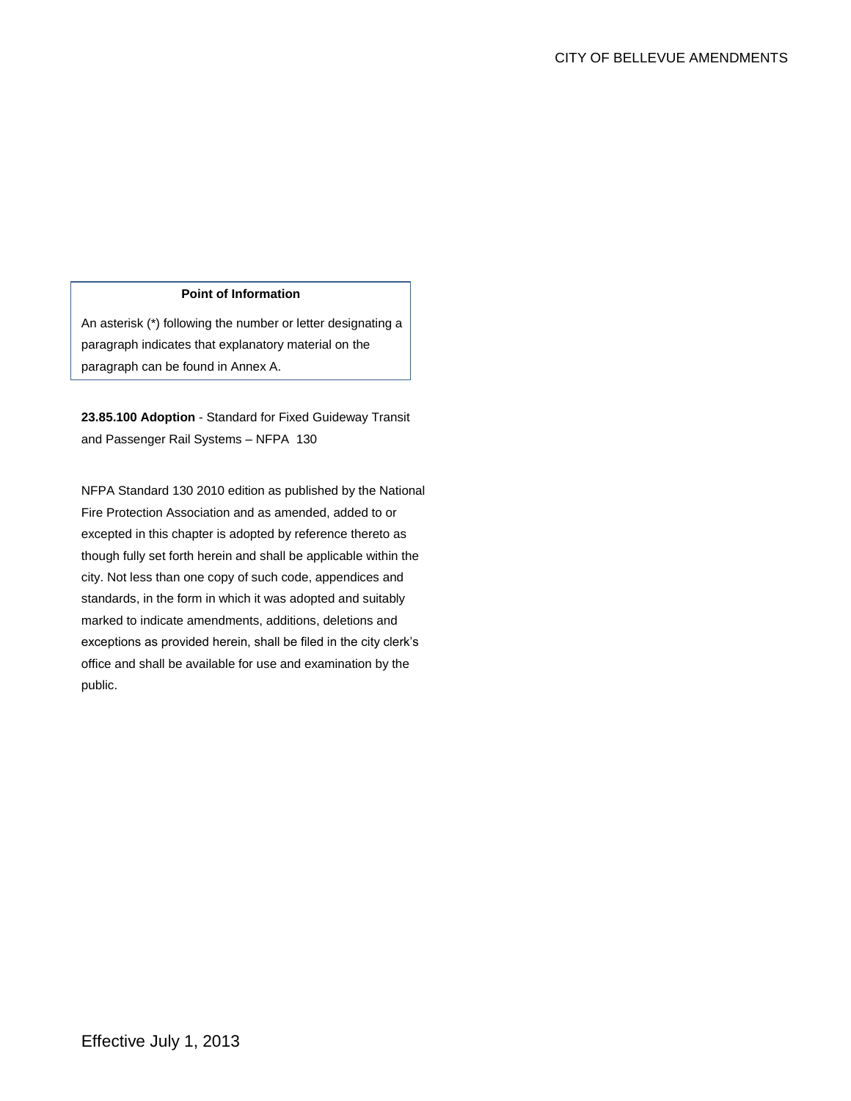#### **Point of Information**

An asterisk (\*) following the number or letter designating a paragraph indicates that explanatory material on the paragraph can be found in Annex A.

**23.85.100 Adoption** - Standard for Fixed Guideway Transit and Passenger Rail Systems – NFPA 130

NFPA Standard 130 2010 edition as published by the National Fire Protection Association and as amended, added to or excepted in this chapter is adopted by reference thereto as though fully set forth herein and shall be applicable within the city. Not less than one copy of such code, appendices and standards, in the form in which it was adopted and suitably marked to indicate amendments, additions, deletions and exceptions as provided herein, shall be filed in the city clerk's office and shall be available for use and examination by the public.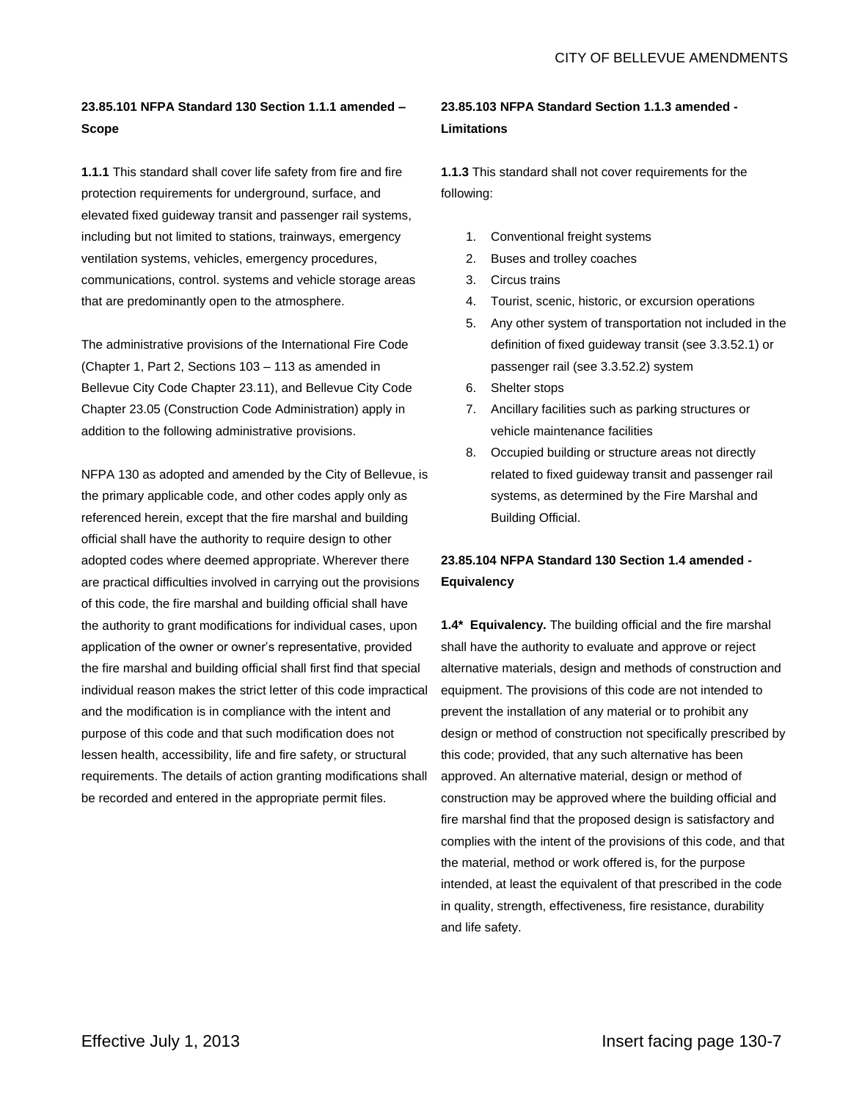## **23.85.101 NFPA Standard 130 Section 1.1.1 amended – Scope**

**1.1.1** This standard shall cover life safety from fire and fire protection requirements for underground, surface, and elevated fixed guideway transit and passenger rail systems, including but not limited to stations, trainways, emergency ventilation systems, vehicles, emergency procedures, communications, control. systems and vehicle storage areas that are predominantly open to the atmosphere.

The administrative provisions of the International Fire Code (Chapter 1, Part 2, Sections 103 – 113 as amended in Bellevue City Code Chapter 23.11), and Bellevue City Code Chapter 23.05 (Construction Code Administration) apply in addition to the following administrative provisions.

NFPA 130 as adopted and amended by the City of Bellevue, is the primary applicable code, and other codes apply only as referenced herein, except that the fire marshal and building official shall have the authority to require design to other adopted codes where deemed appropriate. Wherever there are practical difficulties involved in carrying out the provisions of this code, the fire marshal and building official shall have the authority to grant modifications for individual cases, upon application of the owner or owner's representative, provided the fire marshal and building official shall first find that special individual reason makes the strict letter of this code impractical and the modification is in compliance with the intent and purpose of this code and that such modification does not lessen health, accessibility, life and fire safety, or structural requirements. The details of action granting modifications shall be recorded and entered in the appropriate permit files.

# **23.85.103 NFPA Standard Section 1.1.3 amended - Limitations**

**1.1.3** This standard shall not cover requirements for the following:

- 1. Conventional freight systems
- 2. Buses and trolley coaches
- 3. Circus trains
- 4. Tourist, scenic, historic, or excursion operations
- 5. Any other system of transportation not included in the definition of fixed guideway transit (see 3.3.52.1) or passenger rail (see 3.3.52.2) system
- 6. Shelter stops
- 7. Ancillary facilities such as parking structures or vehicle maintenance facilities
- 8. Occupied building or structure areas not directly related to fixed guideway transit and passenger rail systems, as determined by the Fire Marshal and Building Official.

# **23.85.104 NFPA Standard 130 Section 1.4 amended - Equivalency**

**1.4\* Equivalency.** The building official and the fire marshal shall have the authority to evaluate and approve or reject alternative materials, design and methods of construction and equipment. The provisions of this code are not intended to prevent the installation of any material or to prohibit any design or method of construction not specifically prescribed by this code; provided, that any such alternative has been approved. An alternative material, design or method of construction may be approved where the building official and fire marshal find that the proposed design is satisfactory and complies with the intent of the provisions of this code, and that the material, method or work offered is, for the purpose intended, at least the equivalent of that prescribed in the code in quality, strength, effectiveness, fire resistance, durability and life safety.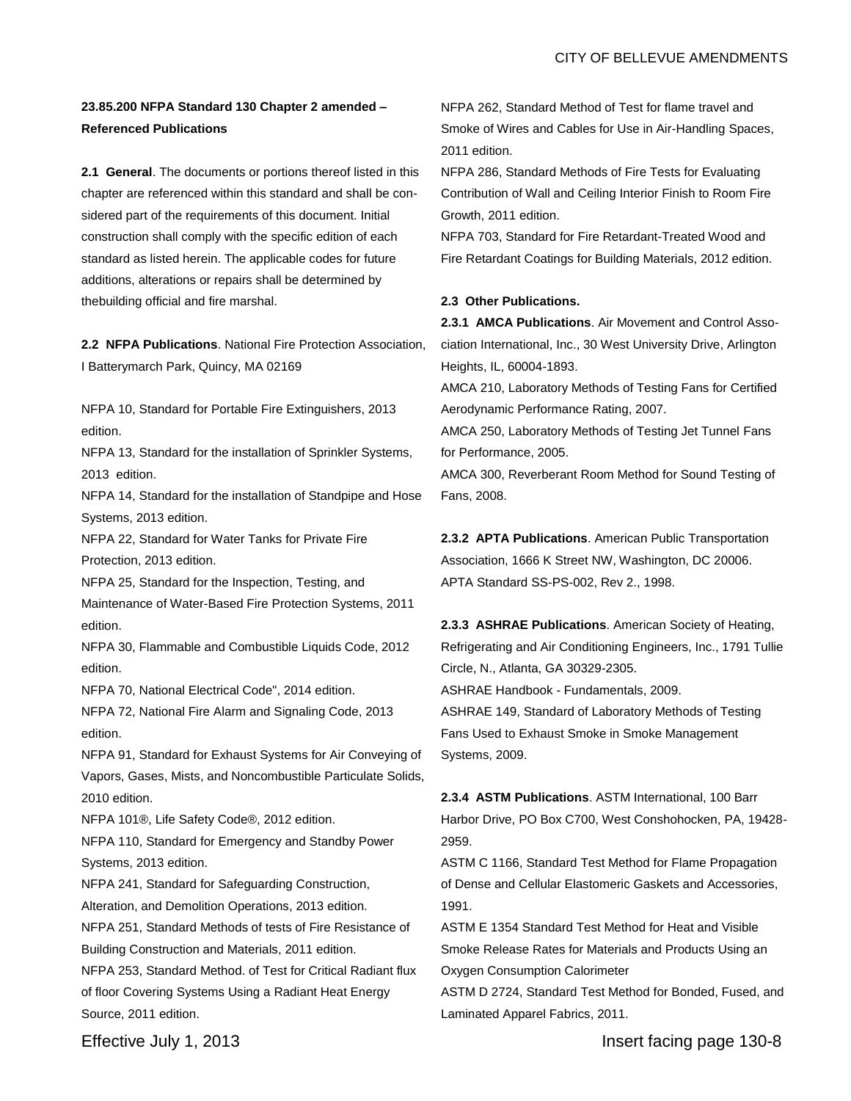#### **23.85.200 NFPA Standard 130 Chapter 2 amended – Referenced Publications**

**2.1 General**. The documents or portions thereof listed in this chapter are referenced within this standard and shall be considered part of the requirements of this document. Initial construction shall comply with the specific edition of each standard as listed herein. The applicable codes for future additions, alterations or repairs shall be determined by thebuilding official and fire marshal.

**2.2 NFPA Publications**. National Fire Protection Association, I Batterymarch Park, Quincy, MA 02169

NFPA 10, Standard for Portable Fire Extinguishers, 2013 edition.

NFPA 13, Standard for the installation of Sprinkler Systems, 2013 edition.

NFPA 14, Standard for the installation of Standpipe and Hose Systems, 2013 edition.

NFPA 22, Standard for Water Tanks for Private Fire Protection, 2013 edition.

NFPA 25, Standard for the Inspection, Testing, and Maintenance of Water-Based Fire Protection Systems, 2011 edition.

NFPA 30, Flammable and Combustible Liquids Code, 2012 edition.

NFPA 70, National Electrical Code", 2014 edition.

NFPA 72, National Fire Alarm and Signaling Code, 2013 edition.

NFPA 91, Standard for Exhaust Systems for Air Conveying of Vapors, Gases, Mists, and Noncombustible Particulate Solids, 2010 edition.

NFPA 101®, Life Safety Code®, 2012 edition.

NFPA 110, Standard for Emergency and Standby Power Systems, 2013 edition.

NFPA 241, Standard for Safeguarding Construction,

Alteration, and Demolition Operations, 2013 edition.

NFPA 251, Standard Methods of tests of Fire Resistance of Building Construction and Materials, 2011 edition.

NFPA 253, Standard Method. of Test for Critical Radiant flux of floor Covering Systems Using a Radiant Heat Energy Source, 2011 edition.

NFPA 262, Standard Method of Test for flame travel and Smoke of Wires and Cables for Use in Air-Handling Spaces, 2011 edition.

NFPA 286, Standard Methods of Fire Tests for Evaluating Contribution of Wall and Ceiling Interior Finish to Room Fire Growth, 2011 edition.

NFPA 703, Standard for Fire Retardant-Treated Wood and Fire Retardant Coatings for Building Materials, 2012 edition.

#### **2.3 Other Publications.**

**2.3.1 AMCA Publications**. Air Movement and Control Association International, Inc., 30 West University Drive, Arlington Heights, IL, 60004-1893.

AMCA 210, Laboratory Methods of Testing Fans for Certified Aerodynamic Performance Rating, 2007.

AMCA 250, Laboratory Methods of Testing Jet Tunnel Fans for Performance, 2005.

AMCA 300, Reverberant Room Method for Sound Testing of Fans, 2008.

**2.3.2 APTA Publications**. American Public Transportation Association, 1666 K Street NW, Washington, DC 20006. APTA Standard SS-PS-002, Rev 2., 1998.

**2.3.3 ASHRAE Publications**. American Society of Heating, Refrigerating and Air Conditioning Engineers, Inc., 1791 Tullie Circle, N., Atlanta, GA 30329-2305. ASHRAE Handbook - Fundamentals, 2009. ASHRAE 149, Standard of Laboratory Methods of Testing Fans Used to Exhaust Smoke in Smoke Management

Systems, 2009.

**2.3.4 ASTM Publications**. ASTM International, 100 Barr Harbor Drive, PO Box C700, West Conshohocken, PA, 19428- 2959.

ASTM C 1166, Standard Test Method for Flame Propagation of Dense and Cellular Elastomeric Gaskets and Accessories, 1991.

ASTM E 1354 Standard Test Method for Heat and Visible Smoke Release Rates for Materials and Products Using an Oxygen Consumption Calorimeter

ASTM D 2724, Standard Test Method for Bonded, Fused, and Laminated Apparel Fabrics, 2011.

Effective July 1, 2013 Insert facing page 130-8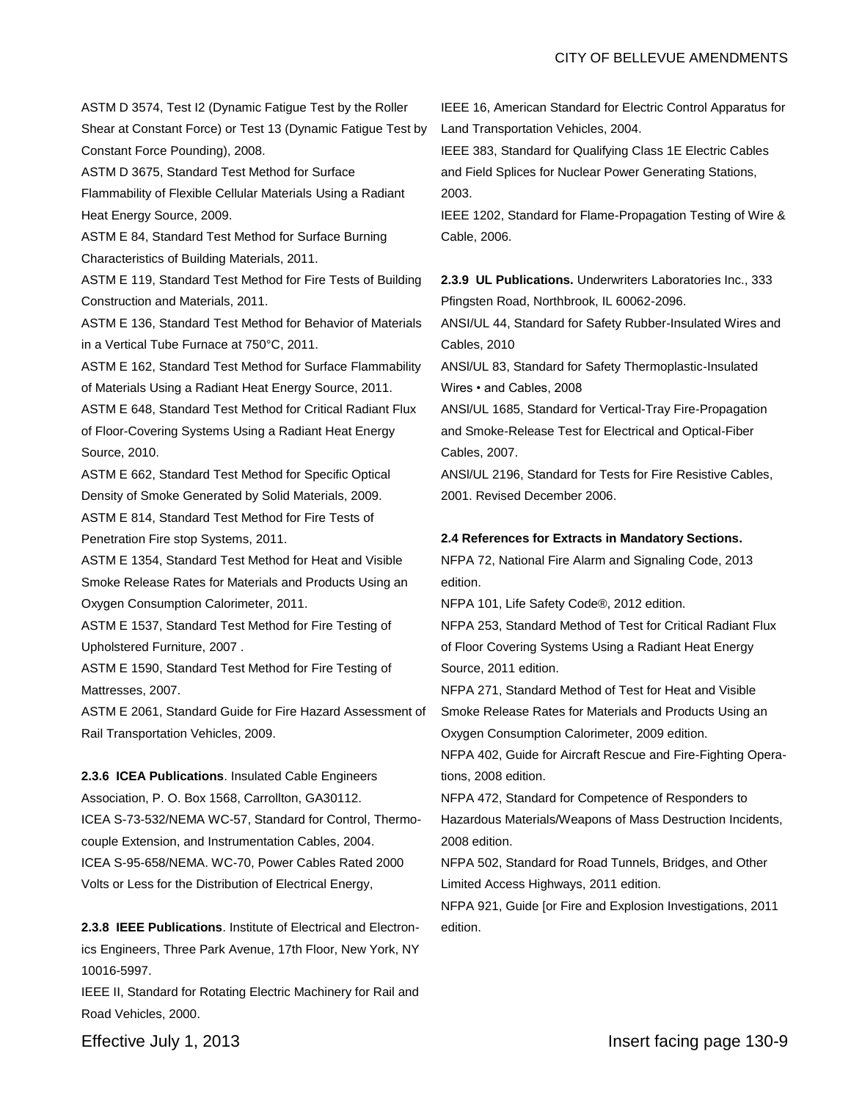ASTM D 3574, Test I2 (Dynamic Fatigue Test by the Roller Shear at Constant Force) or Test 13 (Dynamic Fatigue Test by

Constant Force Pounding), 2008.

ASTM D 3675, Standard Test Method for Surface

Flammability of Flexible Cellular Materials Using a Radiant Heat Energy Source, 2009.

ASTM E 84, Standard Test Method for Surface Burning Characteristics of Building Materials, 2011.

ASTM E 119, Standard Test Method for Fire Tests of Building Construction and Materials, 2011.

ASTM E 136, Standard Test Method for Behavior of Materials in a Vertical Tube Furnace at 750°C, 2011.

ASTM E 162, Standard Test Method for Surface Flammability of Materials Using a Radiant Heat Energy Source, 2011.

ASTM E 648, Standard Test Method for Critical Radiant Flux of Floor-Covering Systems Using a Radiant Heat Energy Source, 2010.

ASTM E 662, Standard Test Method for Specific Optical Density of Smoke Generated by Solid Materials, 2009. ASTM E 814, Standard Test Method for Fire Tests of Penetration Fire stop Systems, 2011.

ASTM E 1354, Standard Test Method for Heat and Visible Smoke Release Rates for Materials and Products Using an Oxygen Consumption Calorimeter, 2011.

ASTM E 1537, Standard Test Method for Fire Testing of Upholstered Furniture, 2007 .

ASTM E 1590, Standard Test Method for Fire Testing of Mattresses, 2007.

ASTM E 2061, Standard Guide for Fire Hazard Assessment of Rail Transportation Vehicles, 2009.

#### **2.3.6 ICEA Publications**. Insulated Cable Engineers

Association, P. O. Box 1568, Carrollton, GA30112. ICEA S-73-532/NEMA WC-57, Standard for Control, Thermocouple Extension, and Instrumentation Cables, 2004. ICEA S-95-658/NEMA. WC-70, Power Cables Rated 2000 Volts or Less for the Distribution of Electrical Energy,

**2.3.8 IEEE Publications**. Institute of Electrical and Electronics Engineers, Three Park Avenue, 17th Floor, New York, NY 10016-5997.

IEEE II, Standard for Rotating Electric Machinery for Rail and Road Vehicles, 2000.

IEEE 16, American Standard for Electric Control Apparatus for Land Transportation Vehicles, 2004.

IEEE 383, Standard for Qualifying Class 1E Electric Cables and Field Splices for Nuclear Power Generating Stations, 2003.

IEEE 1202, Standard for Flame-Propagation Testing of Wire & Cable, 2006.

**2.3.9 UL Publications.** Underwriters Laboratories Inc., 333 Pfingsten Road, Northbrook, IL 60062-2096.

ANSI/UL 44, Standard for Safety Rubber-Insulated Wires and Cables, 2010

ANSl/UL 83, Standard for Safety Thermoplastic-Insulated Wires • and Cables, 2008

ANSl/UL 1685, Standard for Vertical-Tray Fire-Propagation and Smoke-Release Test for Electrical and Optical-Fiber Cables, 2007.

ANSl/UL 2196, Standard for Tests for Fire Resistive Cables, 2001. Revised December 2006.

#### **2.4 References for Extracts in Mandatory Sections.**

NFPA 72, National Fire Alarm and Signaling Code, 2013 edition.

NFPA 101, Life Safety Code®, 2012 edition.

NFPA 253, Standard Method of Test for Critical Radiant Flux of Floor Covering Systems Using a Radiant Heat Energy Source, 2011 edition.

NFPA 271, Standard Method of Test for Heat and Visible Smoke Release Rates for Materials and Products Using an Oxygen Consumption Calorimeter, 2009 edition.

NFPA 402, Guide for Aircraft Rescue and Fire-Fighting Operations, 2008 edition.

NFPA 472, Standard for Competence of Responders to Hazardous Materials/Weapons of Mass Destruction Incidents, 2008 edition.

NFPA 502, Standard for Road Tunnels, Bridges, and Other Limited Access Highways, 2011 edition.

NFPA 921, Guide [or Fire and Explosion Investigations, 2011 edition.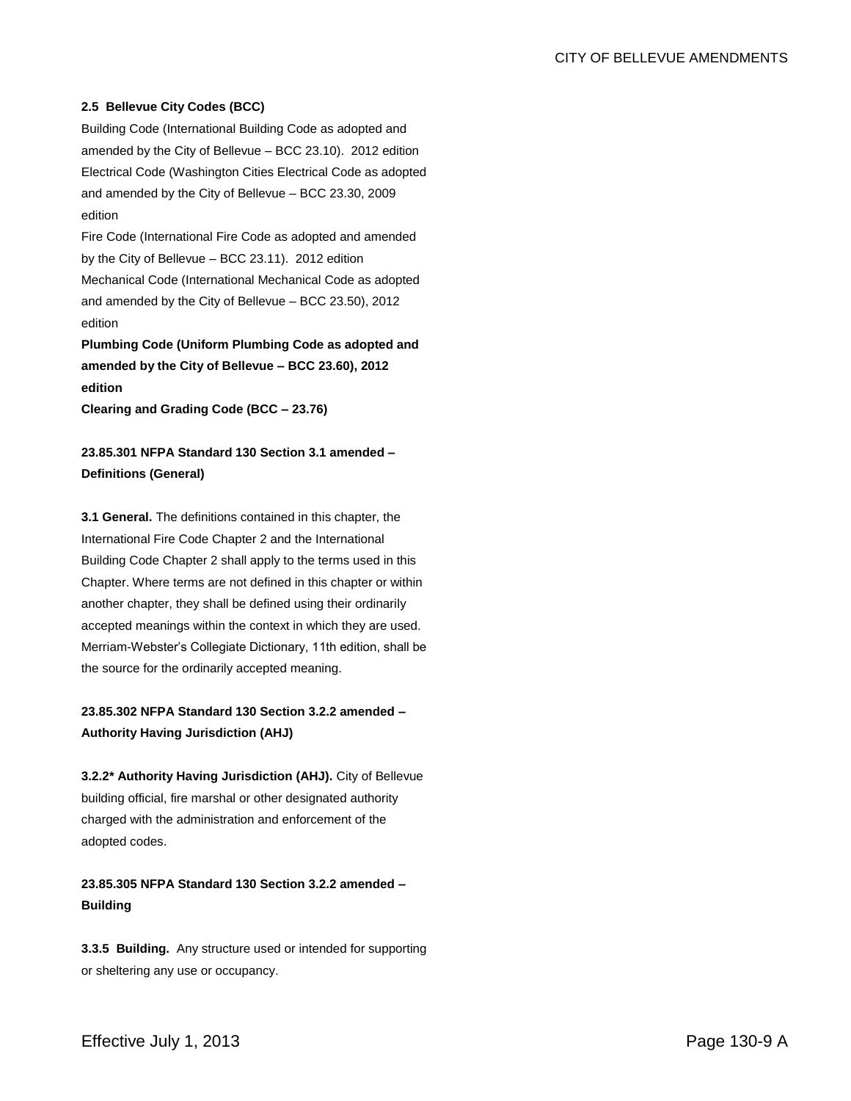#### **2.5 Bellevue City Codes (BCC)**

Building Code (International Building Code as adopted and amended by the City of Bellevue – BCC 23.10). 2012 edition Electrical Code (Washington Cities Electrical Code as adopted and amended by the City of Bellevue – BCC 23.30, 2009 edition

Fire Code (International Fire Code as adopted and amended by the City of Bellevue – BCC 23.11). 2012 edition Mechanical Code (International Mechanical Code as adopted and amended by the City of Bellevue – BCC 23.50), 2012 edition

**Plumbing Code (Uniform Plumbing Code as adopted and amended by the City of Bellevue – BCC 23.60), 2012 edition**

**Clearing and Grading Code (BCC – 23.76)**

**23.85.301 NFPA Standard 130 Section 3.1 amended – Definitions (General)**

**3.1 General.** The definitions contained in this chapter, the International Fire Code Chapter 2 and the International Building Code Chapter 2 shall apply to the terms used in this Chapter. Where terms are not defined in this chapter or within another chapter, they shall be defined using their ordinarily accepted meanings within the context in which they are used. Merriam-Webster's Collegiate Dictionary, 11th edition, shall be the source for the ordinarily accepted meaning.

## **23.85.302 NFPA Standard 130 Section 3.2.2 amended – Authority Having Jurisdiction (AHJ)**

**3.2.2\* Authority Having Jurisdiction (AHJ).** City of Bellevue building official, fire marshal or other designated authority charged with the administration and enforcement of the adopted codes.

# **23.85.305 NFPA Standard 130 Section 3.2.2 amended – Building**

**3.3.5 Building.** Any structure used or intended for supporting or sheltering any use or occupancy.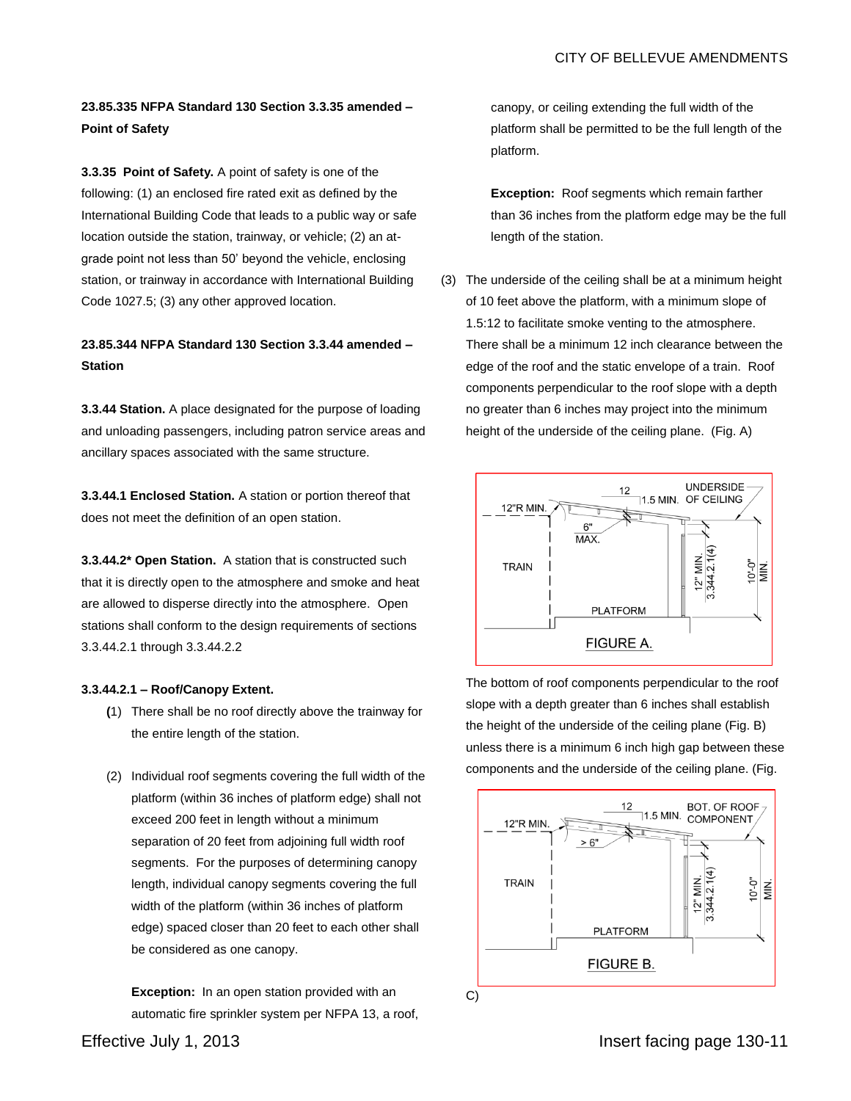## **23.85.335 NFPA Standard 130 Section 3.3.35 amended – Point of Safety**

**3.3.35 Point of Safety.** A point of safety is one of the following: (1) an enclosed fire rated exit as defined by the International Building Code that leads to a public way or safe location outside the station, trainway, or vehicle; (2) an atgrade point not less than 50' beyond the vehicle, enclosing station, or trainway in accordance with International Building Code 1027.5; (3) any other approved location.

### **23.85.344 NFPA Standard 130 Section 3.3.44 amended – Station**

**3.3.44 Station.** A place designated for the purpose of loading and unloading passengers, including patron service areas and ancillary spaces associated with the same structure.

**3.3.44.1 Enclosed Station.** A station or portion thereof that does not meet the definition of an open station.

**3.3.44.2\* Open Station.** A station that is constructed such that it is directly open to the atmosphere and smoke and heat are allowed to disperse directly into the atmosphere. Open stations shall conform to the design requirements of sections 3.3.44.2.1 through 3.3.44.2.2

#### **3.3.44.2.1 – Roof/Canopy Extent.**

- **(**1) There shall be no roof directly above the trainway for the entire length of the station.
- (2) Individual roof segments covering the full width of the platform (within 36 inches of platform edge) shall not exceed 200 feet in length without a minimum separation of 20 feet from adjoining full width roof segments. For the purposes of determining canopy length, individual canopy segments covering the full width of the platform (within 36 inches of platform edge) spaced closer than 20 feet to each other shall be considered as one canopy.

**Exception:** In an open station provided with an automatic fire sprinkler system per NFPA 13, a roof, canopy, or ceiling extending the full width of the platform shall be permitted to be the full length of the platform.

**Exception:** Roof segments which remain farther than 36 inches from the platform edge may be the full length of the station.

(3) The underside of the ceiling shall be at a minimum height of 10 feet above the platform, with a minimum slope of 1.5:12 to facilitate smoke venting to the atmosphere. There shall be a minimum 12 inch clearance between the edge of the roof and the static envelope of a train. Roof components perpendicular to the roof slope with a depth no greater than 6 inches may project into the minimum height of the underside of the ceiling plane. (Fig. A)



The bottom of roof components perpendicular to the roof slope with a depth greater than 6 inches shall establish the height of the underside of the ceiling plane (Fig. B) unless there is a minimum 6 inch high gap between these components and the underside of the ceiling plane. (Fig.

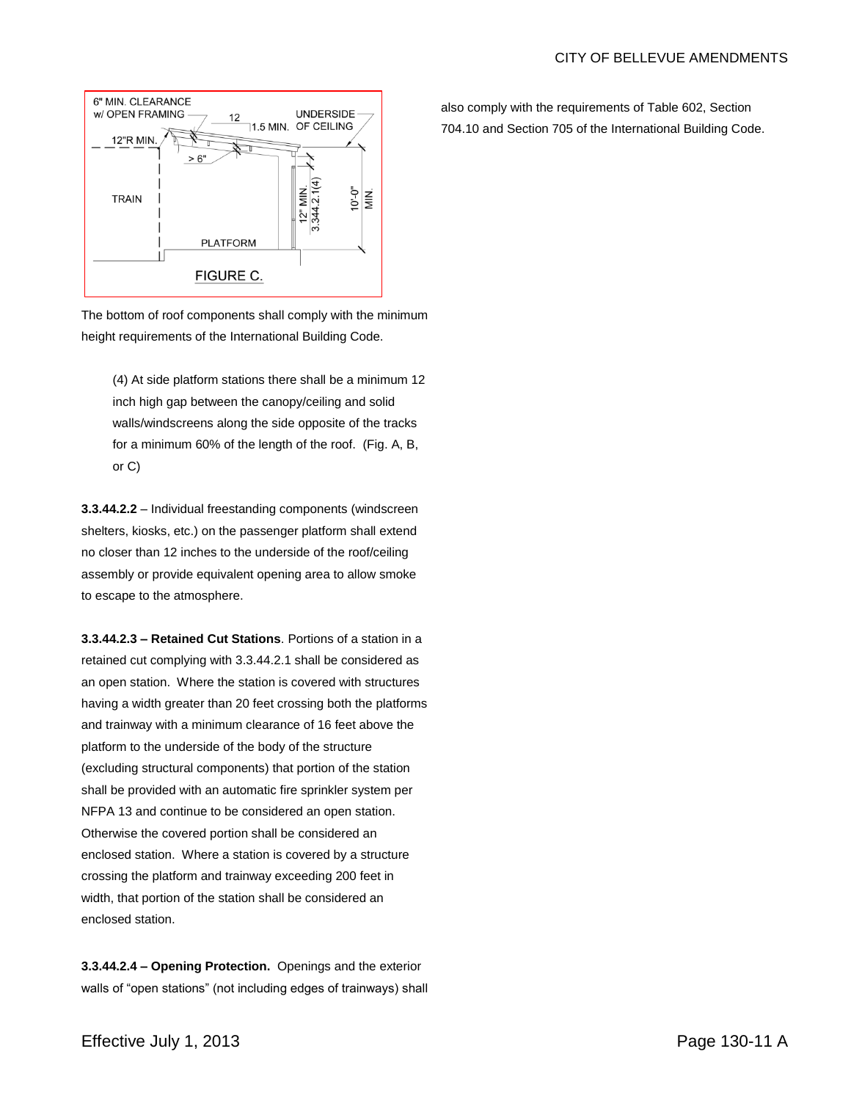#### CITY OF BELLEVUE AMENDMENTS



The bottom of roof components shall comply with the minimum height requirements of the International Building Code.

(4) At side platform stations there shall be a minimum 12 inch high gap between the canopy/ceiling and solid walls/windscreens along the side opposite of the tracks for a minimum 60% of the length of the roof. (Fig. A, B, or C)

**3.3.44.2.2** – Individual freestanding components (windscreen shelters, kiosks, etc.) on the passenger platform shall extend no closer than 12 inches to the underside of the roof/ceiling assembly or provide equivalent opening area to allow smoke to escape to the atmosphere.

**3.3.44.2.3 – Retained Cut Stations**. Portions of a station in a retained cut complying with 3.3.44.2.1 shall be considered as an open station. Where the station is covered with structures having a width greater than 20 feet crossing both the platforms and trainway with a minimum clearance of 16 feet above the platform to the underside of the body of the structure (excluding structural components) that portion of the station shall be provided with an automatic fire sprinkler system per NFPA 13 and continue to be considered an open station. Otherwise the covered portion shall be considered an enclosed station. Where a station is covered by a structure crossing the platform and trainway exceeding 200 feet in width, that portion of the station shall be considered an enclosed station.

**3.3.44.2.4 – Opening Protection.** Openings and the exterior walls of "open stations" (not including edges of trainways) shall also comply with the requirements of Table 602, Section 704.10 and Section 705 of the International Building Code.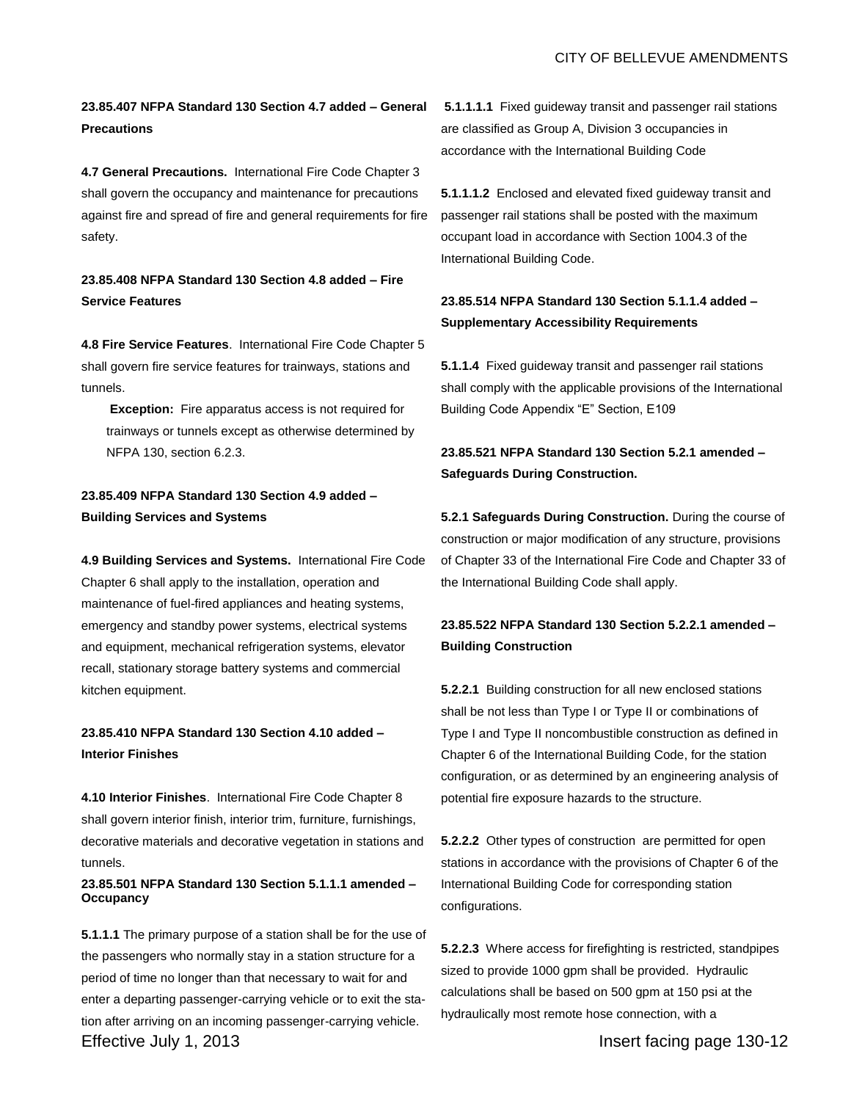**23.85.407 NFPA Standard 130 Section 4.7 added – General Precautions**

**4.7 General Precautions.** International Fire Code Chapter 3 shall govern the occupancy and maintenance for precautions against fire and spread of fire and general requirements for fire safety.

### **23.85.408 NFPA Standard 130 Section 4.8 added – Fire Service Features**

**4.8 Fire Service Features**. International Fire Code Chapter 5 shall govern fire service features for trainways, stations and tunnels.

**Exception:** Fire apparatus access is not required for trainways or tunnels except as otherwise determined by NFPA 130, section 6.2.3.

## **23.85.409 NFPA Standard 130 Section 4.9 added – Building Services and Systems**

**4.9 Building Services and Systems.** International Fire Code Chapter 6 shall apply to the installation, operation and maintenance of fuel-fired appliances and heating systems, emergency and standby power systems, electrical systems and equipment, mechanical refrigeration systems, elevator recall, stationary storage battery systems and commercial kitchen equipment.

## **23.85.410 NFPA Standard 130 Section 4.10 added – Interior Finishes**

**4.10 Interior Finishes**. International Fire Code Chapter 8 shall govern interior finish, interior trim, furniture, furnishings, decorative materials and decorative vegetation in stations and tunnels.

#### **23.85.501 NFPA Standard 130 Section 5.1.1.1 amended – Occupancy**

Effective July 1, 2013 **Insert facing page 130-12 5.1.1.1** The primary purpose of a station shall be for the use of the passengers who normally stay in a station structure for a period of time no longer than that necessary to wait for and enter a departing passenger-carrying vehicle or to exit the station after arriving on an incoming passenger-carrying vehicle.

**5.1.1.1.1** Fixed guideway transit and passenger rail stations are classified as Group A, Division 3 occupancies in accordance with the International Building Code

**5.1.1.1.2** Enclosed and elevated fixed guideway transit and passenger rail stations shall be posted with the maximum occupant load in accordance with Section 1004.3 of the International Building Code.

### **23.85.514 NFPA Standard 130 Section 5.1.1.4 added – Supplementary Accessibility Requirements**

**5.1.1.4** Fixed guideway transit and passenger rail stations shall comply with the applicable provisions of the International Building Code Appendix "E" Section, E109

# **23.85.521 NFPA Standard 130 Section 5.2.1 amended – Safeguards During Construction.**

**5.2.1 Safeguards During Construction.** During the course of construction or major modification of any structure, provisions of Chapter 33 of the International Fire Code and Chapter 33 of the International Building Code shall apply.

## **23.85.522 NFPA Standard 130 Section 5.2.2.1 amended – Building Construction**

**5.2.2.1** Building construction for all new enclosed stations shall be not less than Type I or Type II or combinations of Type I and Type II noncombustible construction as defined in Chapter 6 of the International Building Code, for the station configuration, or as determined by an engineering analysis of potential fire exposure hazards to the structure.

**5.2.2.2** Other types of construction are permitted for open stations in accordance with the provisions of Chapter 6 of the International Building Code for corresponding station configurations.

**5.2.2.3** Where access for firefighting is restricted, standpipes sized to provide 1000 gpm shall be provided. Hydraulic calculations shall be based on 500 gpm at 150 psi at the hydraulically most remote hose connection, with a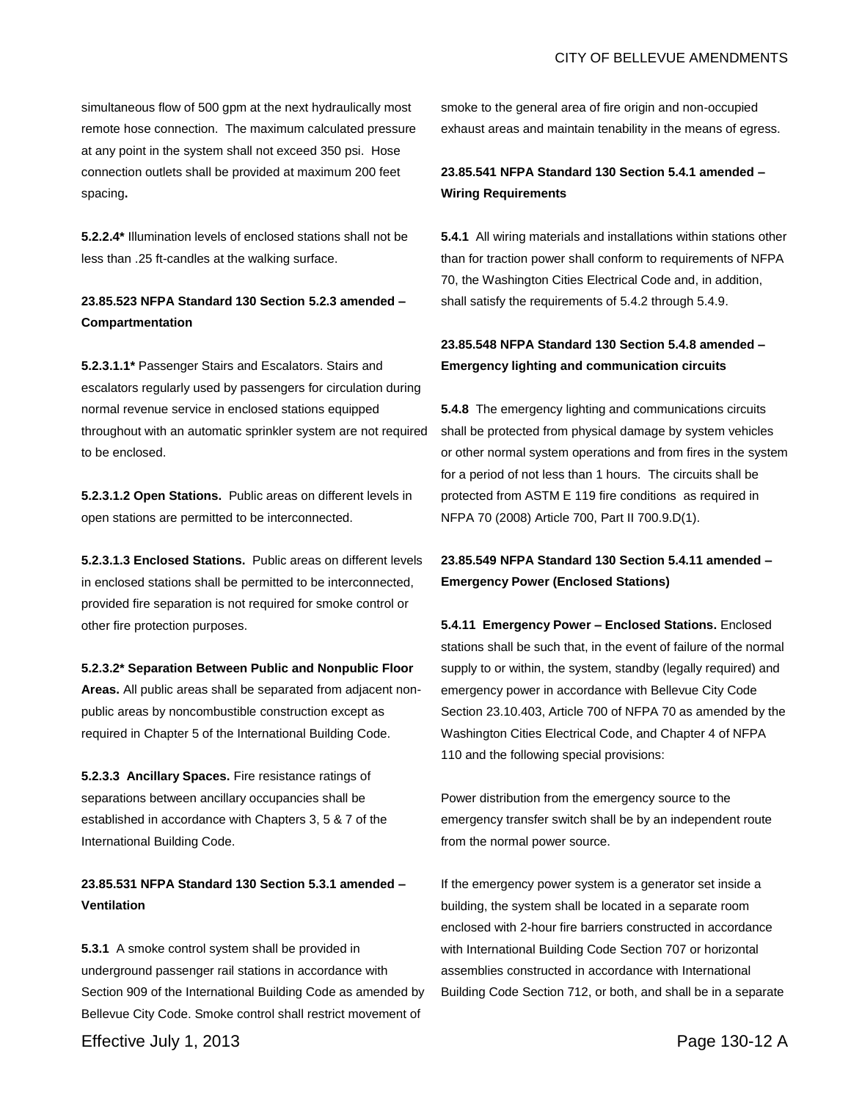simultaneous flow of 500 gpm at the next hydraulically most remote hose connection. The maximum calculated pressure at any point in the system shall not exceed 350 psi. Hose connection outlets shall be provided at maximum 200 feet spacing**.** 

**5.2.2.4\*** Illumination levels of enclosed stations shall not be less than .25 ft-candles at the walking surface.

## **23.85.523 NFPA Standard 130 Section 5.2.3 amended – Compartmentation**

**5.2.3.1.1\*** Passenger Stairs and Escalators. Stairs and escalators regularly used by passengers for circulation during normal revenue service in enclosed stations equipped throughout with an automatic sprinkler system are not required to be enclosed.

**5.2.3.1.2 Open Stations.** Public areas on different levels in open stations are permitted to be interconnected.

**5.2.3.1.3 Enclosed Stations.** Public areas on different levels in enclosed stations shall be permitted to be interconnected, provided fire separation is not required for smoke control or other fire protection purposes.

**5.2.3.2\* Separation Between Public and Nonpublic Floor Areas.** All public areas shall be separated from adjacent nonpublic areas by noncombustible construction except as required in Chapter 5 of the International Building Code.

**5.2.3.3 Ancillary Spaces.** Fire resistance ratings of separations between ancillary occupancies shall be established in accordance with Chapters 3, 5 & 7 of the International Building Code.

## **23.85.531 NFPA Standard 130 Section 5.3.1 amended – Ventilation**

**5.3.1** A smoke control system shall be provided in underground passenger rail stations in accordance with Section 909 of the International Building Code as amended by Bellevue City Code. Smoke control shall restrict movement of

smoke to the general area of fire origin and non-occupied exhaust areas and maintain tenability in the means of egress.

### **23.85.541 NFPA Standard 130 Section 5.4.1 amended – Wiring Requirements**

**5.4.1** All wiring materials and installations within stations other than for traction power shall conform to requirements of NFPA 70, the Washington Cities Electrical Code and, in addition, shall satisfy the requirements of 5.4.2 through 5.4.9.

#### **23.85.548 NFPA Standard 130 Section 5.4.8 amended – Emergency lighting and communication circuits**

**5.4.8** The emergency lighting and communications circuits shall be protected from physical damage by system vehicles or other normal system operations and from fires in the system for a period of not less than 1 hours. The circuits shall be protected from ASTM E 119 fire conditions as required in NFPA 70 (2008) Article 700, Part II 700.9.D(1).

### **23.85.549 NFPA Standard 130 Section 5.4.11 amended – Emergency Power (Enclosed Stations)**

**5.4.11 Emergency Power – Enclosed Stations.** Enclosed stations shall be such that, in the event of failure of the normal supply to or within, the system, standby (legally required) and emergency power in accordance with Bellevue City Code Section 23.10.403, Article 700 of NFPA 70 as amended by the Washington Cities Electrical Code, and Chapter 4 of NFPA 110 and the following special provisions:

Power distribution from the emergency source to the emergency transfer switch shall be by an independent route from the normal power source.

If the emergency power system is a generator set inside a building, the system shall be located in a separate room enclosed with 2-hour fire barriers constructed in accordance with International Building Code Section 707 or horizontal assemblies constructed in accordance with International Building Code Section 712, or both, and shall be in a separate

Effective July 1, 2013 Page 130-12 A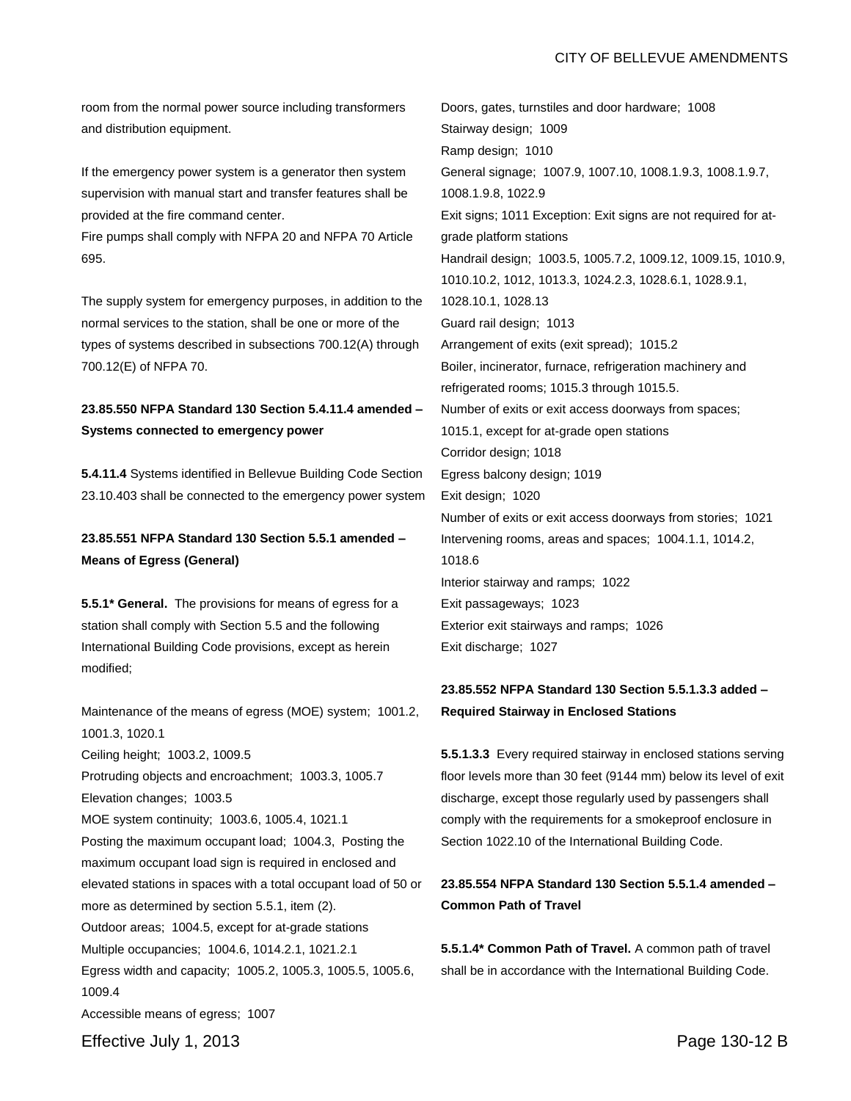room from the normal power source including transformers and distribution equipment.

If the emergency power system is a generator then system supervision with manual start and transfer features shall be provided at the fire command center.

Fire pumps shall comply with NFPA 20 and NFPA 70 Article 695.

The supply system for emergency purposes, in addition to the normal services to the station, shall be one or more of the types of systems described in subsections 700.12(A) through 700.12(E) of NFPA 70.

### **23.85.550 NFPA Standard 130 Section 5.4.11.4 amended – Systems connected to emergency power**

**5.4.11.4** Systems identified in Bellevue Building Code Section 23.10.403 shall be connected to the emergency power system

### **23.85.551 NFPA Standard 130 Section 5.5.1 amended – Means of Egress (General)**

**5.5.1\* General.** The provisions for means of egress for a station shall comply with Section 5.5 and the following International Building Code provisions, except as herein modified;

Maintenance of the means of egress (MOE) system; 1001.2, 1001.3, 1020.1 Ceiling height; 1003.2, 1009.5 Protruding objects and encroachment; 1003.3, 1005.7 Elevation changes; 1003.5 MOE system continuity; 1003.6, 1005.4, 1021.1 Posting the maximum occupant load; 1004.3, Posting the maximum occupant load sign is required in enclosed and elevated stations in spaces with a total occupant load of 50 or more as determined by section 5.5.1, item (2). Outdoor areas; 1004.5, except for at-grade stations Multiple occupancies; 1004.6, 1014.2.1, 1021.2.1 Egress width and capacity; 1005.2, 1005.3, 1005.5, 1005.6, 1009.4 Accessible means of egress; 1007

Doors, gates, turnstiles and door hardware; 1008 Stairway design; 1009 Ramp design; 1010 General signage; 1007.9, 1007.10, 1008.1.9.3, 1008.1.9.7, 1008.1.9.8, 1022.9 Exit signs; 1011 Exception: Exit signs are not required for atgrade platform stations Handrail design; 1003.5, 1005.7.2, 1009.12, 1009.15, 1010.9, 1010.10.2, 1012, 1013.3, 1024.2.3, 1028.6.1, 1028.9.1, 1028.10.1, 1028.13 Guard rail design; 1013 Arrangement of exits (exit spread); 1015.2 Boiler, incinerator, furnace, refrigeration machinery and refrigerated rooms; 1015.3 through 1015.5. Number of exits or exit access doorways from spaces; 1015.1, except for at-grade open stations Corridor design; 1018 Egress balcony design; 1019 Exit design; 1020 Number of exits or exit access doorways from stories; 1021 Intervening rooms, areas and spaces; 1004.1.1, 1014.2, 1018.6 Interior stairway and ramps; 1022 Exit passageways; 1023 Exterior exit stairways and ramps; 1026 Exit discharge; 1027

### **23.85.552 NFPA Standard 130 Section 5.5.1.3.3 added – Required Stairway in Enclosed Stations**

**5.5.1.3.3** Every required stairway in enclosed stations serving floor levels more than 30 feet (9144 mm) below its level of exit discharge, except those regularly used by passengers shall comply with the requirements for a smokeproof enclosure in Section 1022.10 of the International Building Code.

## **23.85.554 NFPA Standard 130 Section 5.5.1.4 amended – Common Path of Travel**

**5.5.1.4\* Common Path of Travel.** A common path of travel shall be in accordance with the International Building Code.

Effective July 1, 2013 Page 130-12 B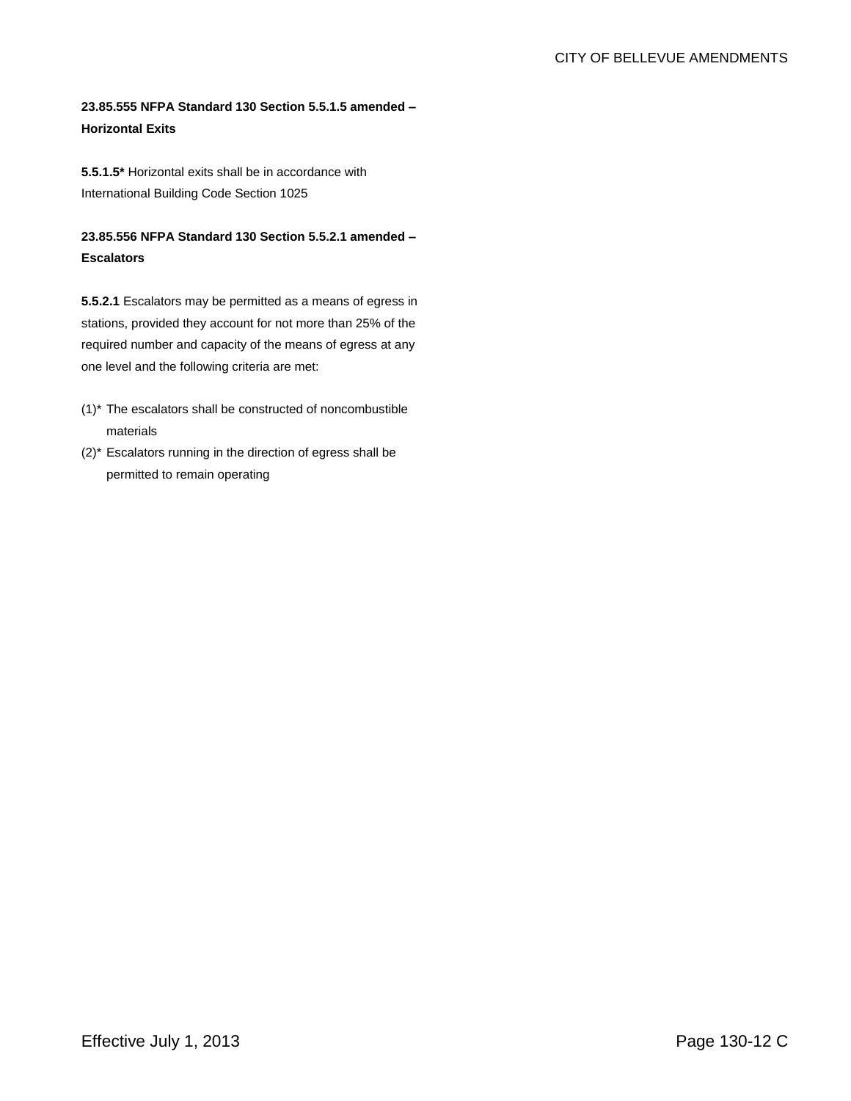# **23.85.555 NFPA Standard 130 Section 5.5.1.5 amended – Horizontal Exits**

**5.5.1.5\*** Horizontal exits shall be in accordance with International Building Code Section 1025

**23.85.556 NFPA Standard 130 Section 5.5.2.1 amended – Escalators**

**5.5.2.1** Escalators may be permitted as a means of egress in stations, provided they account for not more than 25% of the required number and capacity of the means of egress at any one level and the following criteria are met:

- (1)\* The escalators shall be constructed of noncombustible materials
- (2)\* Escalators running in the direction of egress shall be permitted to remain operating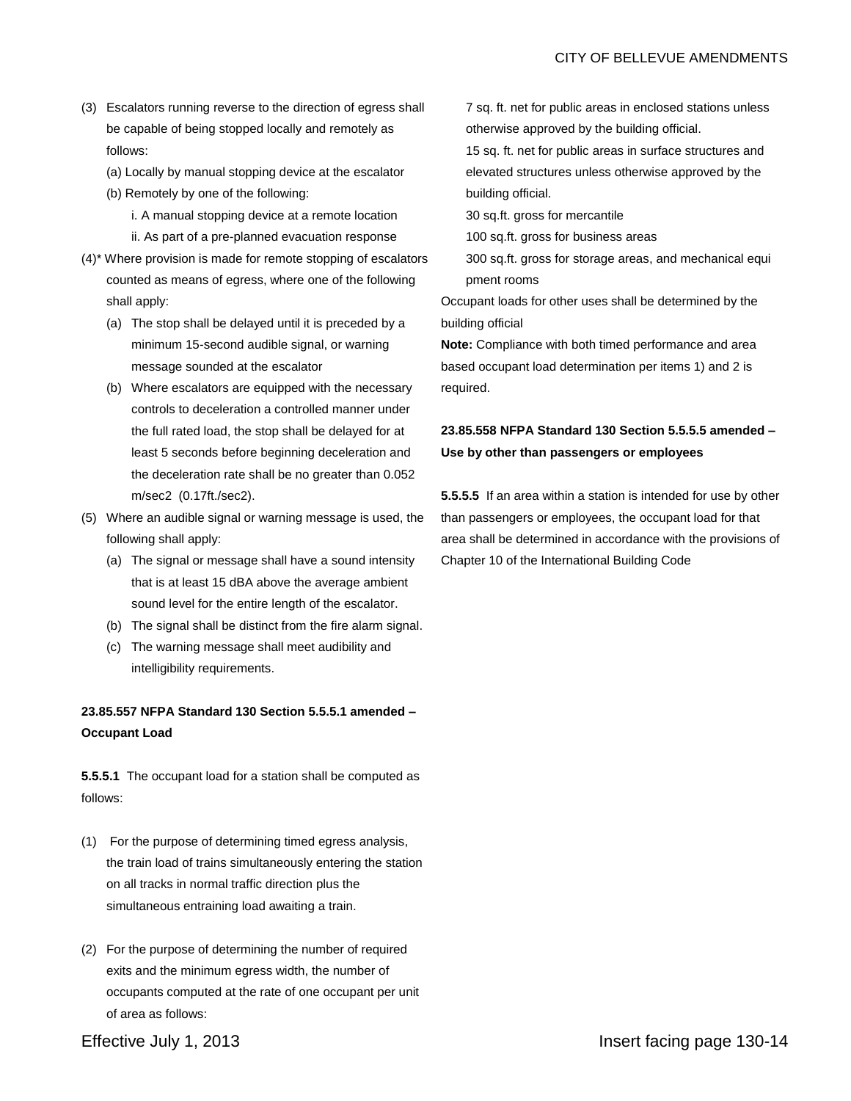- (3) Escalators running reverse to the direction of egress shall be capable of being stopped locally and remotely as follows:
	- (a) Locally by manual stopping device at the escalator
	- (b) Remotely by one of the following:
		- i. A manual stopping device at a remote location ii. As part of a pre-planned evacuation response
- (4)\* Where provision is made for remote stopping of escalators counted as means of egress, where one of the following shall apply:
	- (a) The stop shall be delayed until it is preceded by a minimum 15-second audible signal, or warning message sounded at the escalator
	- (b) Where escalators are equipped with the necessary controls to deceleration a controlled manner under the full rated load, the stop shall be delayed for at least 5 seconds before beginning deceleration and the deceleration rate shall be no greater than 0.052 m/sec2 (0.17ft./sec2).
- (5) Where an audible signal or warning message is used, the following shall apply:
	- (a) The signal or message shall have a sound intensity that is at least 15 dBA above the average ambient sound level for the entire length of the escalator.
	- (b) The signal shall be distinct from the fire alarm signal.
	- (c) The warning message shall meet audibility and intelligibility requirements.

# **23.85.557 NFPA Standard 130 Section 5.5.5.1 amended – Occupant Load**

**5.5.5.1** The occupant load for a station shall be computed as follows:

- (1) For the purpose of determining timed egress analysis, the train load of trains simultaneously entering the station on all tracks in normal traffic direction plus the simultaneous entraining load awaiting a train.
- (2) For the purpose of determining the number of required exits and the minimum egress width, the number of occupants computed at the rate of one occupant per unit of area as follows:

7 sq. ft. net for public areas in enclosed stations unless otherwise approved by the building official.

15 sq. ft. net for public areas in surface structures and elevated structures unless otherwise approved by the building official.

30 sq.ft. gross for mercantile

100 sq.ft. gross for business areas

300 sq.ft. gross for storage areas, and mechanical equi pment rooms

Occupant loads for other uses shall be determined by the building official

**Note:** Compliance with both timed performance and area based occupant load determination per items 1) and 2 is required.

## **23.85.558 NFPA Standard 130 Section 5.5.5.5 amended – Use by other than passengers or employees**

**5.5.5.5** If an area within a station is intended for use by other than passengers or employees, the occupant load for that area shall be determined in accordance with the provisions of Chapter 10 of the International Building Code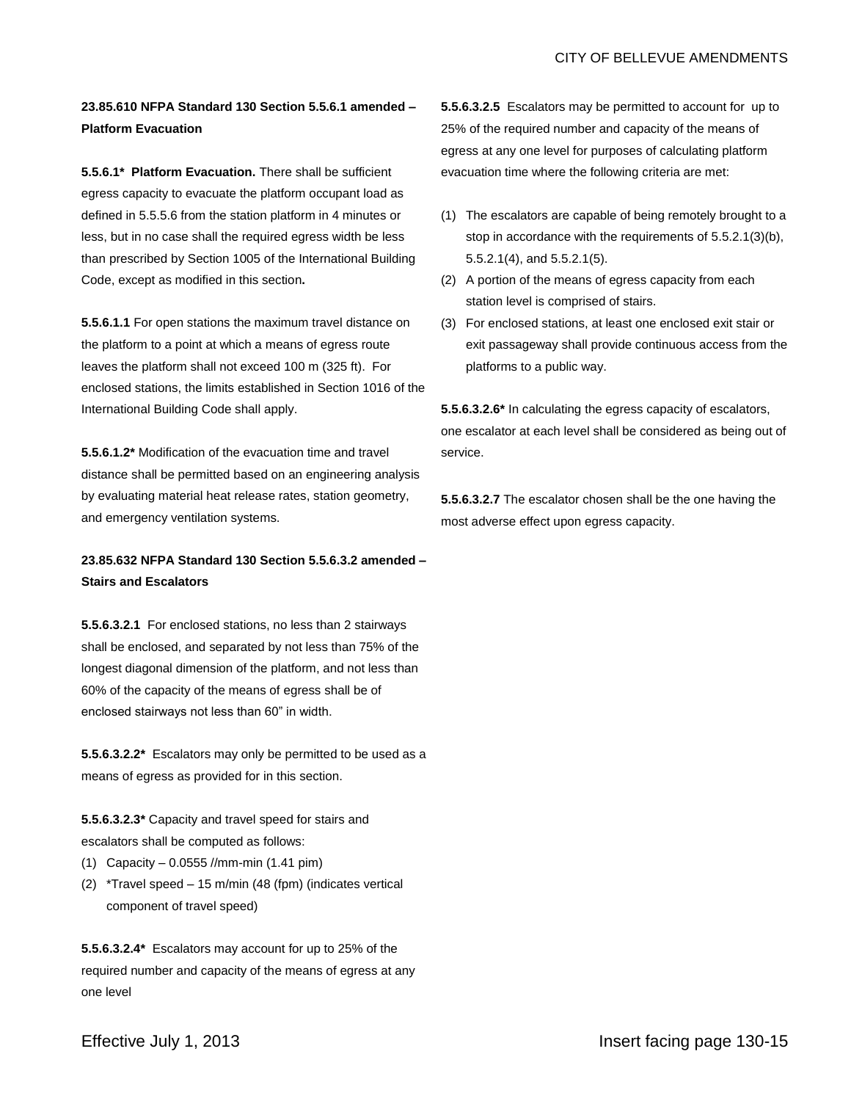## **23.85.610 NFPA Standard 130 Section 5.5.6.1 amended – Platform Evacuation**

**5.5.6.1\* Platform Evacuation.** There shall be sufficient egress capacity to evacuate the platform occupant load as defined in 5.5.5.6 from the station platform in 4 minutes or less, but in no case shall the required egress width be less than prescribed by Section 1005 of the International Building Code, except as modified in this section**.**

**5.5.6.1.1** For open stations the maximum travel distance on the platform to a point at which a means of egress route leaves the platform shall not exceed 100 m (325 ft). For enclosed stations, the limits established in Section 1016 of the International Building Code shall apply.

**5.5.6.1.2\*** Modification of the evacuation time and travel distance shall be permitted based on an engineering analysis by evaluating material heat release rates, station geometry, and emergency ventilation systems.

# **23.85.632 NFPA Standard 130 Section 5.5.6.3.2 amended – Stairs and Escalators**

**5.5.6.3.2.1** For enclosed stations, no less than 2 stairways shall be enclosed, and separated by not less than 75% of the longest diagonal dimension of the platform, and not less than 60% of the capacity of the means of egress shall be of enclosed stairways not less than 60" in width.

**5.5.6.3.2.2\*** Escalators may only be permitted to be used as a means of egress as provided for in this section.

**5.5.6.3.2.3\*** Capacity and travel speed for stairs and escalators shall be computed as follows:

- (1) Capacity 0.0555 //mm-min (1.41 pim)
- (2) \*Travel speed 15 m/min (48 (fpm) (indicates vertical component of travel speed)

**5.5.6.3.2.[4\\*](http://codesonline.nfpa.org/a/c.ref/ID02013005915/sec)** Escalators may account for up to 25% of the required number and capacity of the means of egress at any one level

**5.5.6.3.2.5** Escalators may be permitted to account for up to 25% of the required number and capacity of the means of egress at any one level for purposes of calculating platform evacuation time where the following criteria are met:

- (1) The escalators are capable of being remotely brought to a stop in accordance with the requirements of [5.5.2.1\(](http://codesonline.nfpa.org/NFPA/a/c.html/nfpa_130_2010#ID02013003462)3)(b), [5.5.2.1\(](http://codesonline.nfpa.org/NFPA/a/c.html/nfpa_130_2010#ID02013003462)4), and [5.5.2.1\(](http://codesonline.nfpa.org/NFPA/a/c.html/nfpa_130_2010#ID02013003462)5).
- (2) A portion of the means of egress capacity from each station level is comprised of stairs.
- (3) For enclosed stations, at least one enclosed exit stair or exit passageway shall provide continuous access from the platforms to a public way.

**5.5.6.3.2.6\*** In calculating the egress capacity of escalators, one escalator at each level shall be considered as being out of service.

**5.5.6.3.2.7** The escalator chosen shall be the one having the most adverse effect upon egress capacity.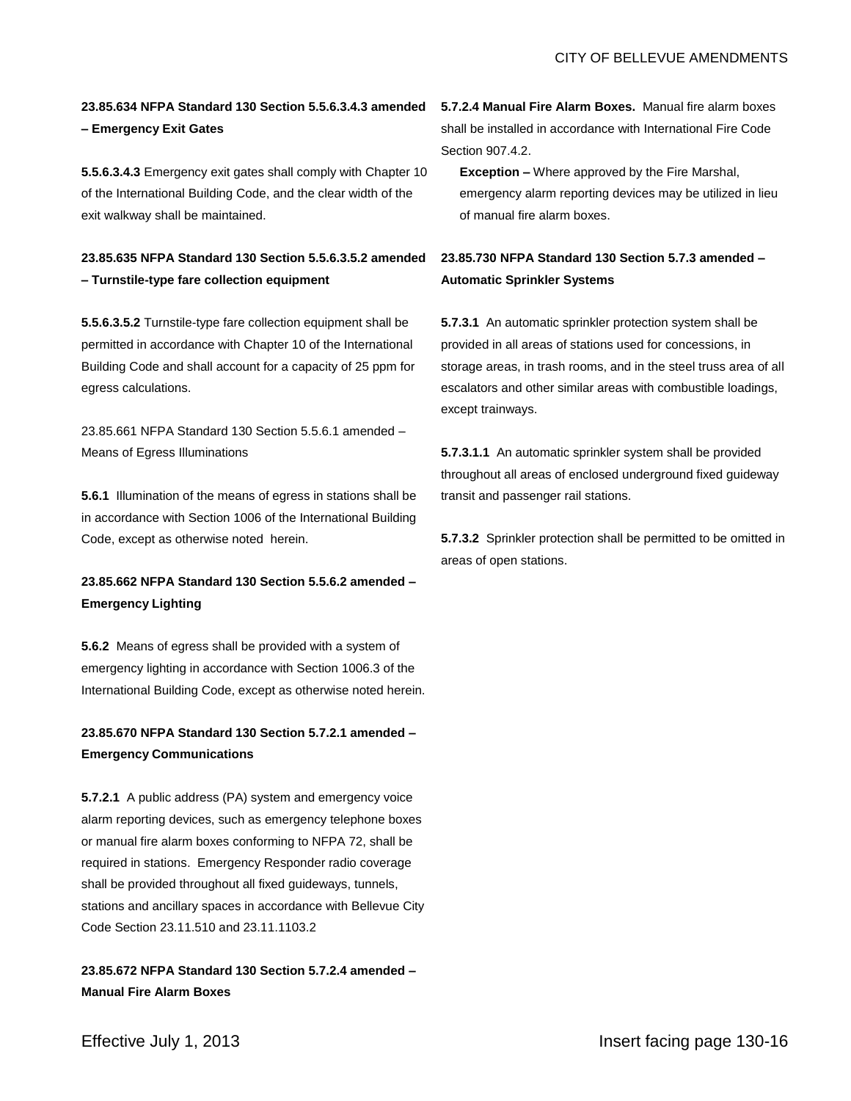# **23.85.634 NFPA Standard 130 Section 5.5.6.3.4.3 amended – Emergency Exit Gates**

**5.5.6.3.4.3** Emergency exit gates shall comply with Chapter 10 of the International Building Code, and the clear width of the exit walkway shall be maintained.

# **23.85.635 NFPA Standard 130 Section 5.5.6.3.5.2 amended – Turnstile-type fare collection equipment**

**5.5.6.3.5.2** Turnstile-type fare collection equipment shall be permitted in accordance with Chapter 10 of the International Building Code and shall account for a capacity of 25 ppm for egress calculations.

23.85.661 NFPA Standard 130 Section 5.5.6.1 amended – Means of Egress Illuminations

**5.6.1** Illumination of the means of egress in stations shall be in accordance with Section 1006 of the International Building Code, except as otherwise noted herein.

# **23.85.662 NFPA Standard 130 Section 5.5.6.2 amended – Emergency Lighting**

**5.6.2** Means of egress shall be provided with a system of emergency lighting in accordance with Section 1006.3 of the International Building Code, except as otherwise noted herein.

## **23.85.670 NFPA Standard 130 Section 5.7.2.1 amended – Emergency Communications**

**5.7.2.1** A public address (PA) system and emergency voice alarm reporting devices, such as emergency telephone boxes or manual fire alarm boxes conforming to NFPA 72, shall be required in stations. Emergency Responder radio coverage shall be provided throughout all fixed guideways, tunnels, stations and ancillary spaces in accordance with Bellevue City Code Section 23.11.510 and 23.11.1103.2

**23.85.672 NFPA Standard 130 Section 5.7.2.4 amended – Manual Fire Alarm Boxes**

**5.7.2.4 Manual Fire Alarm Boxes.** Manual fire alarm boxes shall be installed in accordance with International Fire Code Section 907.4.2.

**Exception –** Where approved by the Fire Marshal, emergency alarm reporting devices may be utilized in lieu of manual fire alarm boxes.

## **23.85.730 NFPA Standard 130 Section 5.7.3 amended – Automatic Sprinkler Systems**

**5.7.3.1** An automatic sprinkler protection system shall be provided in all areas of stations used for concessions, in storage areas, in trash rooms, and in the steel truss area of all escalators and other similar areas with combustible loadings, except trainways.

**5.7.3.1.1** An automatic sprinkler system shall be provided throughout all areas of enclosed underground fixed guideway transit and passenger rail stations.

**5.7.3.2** Sprinkler protection shall be permitted to be omitted in areas of open stations.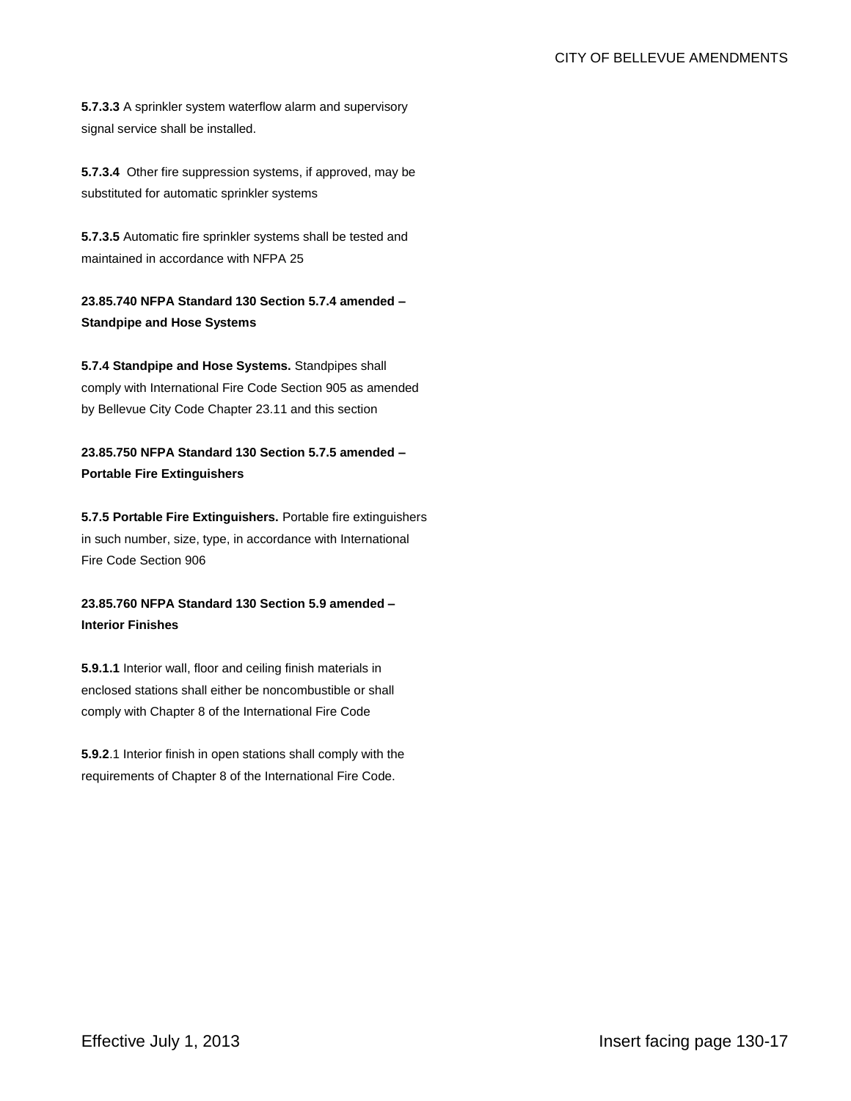**5.7.3.3** A sprinkler system waterflow alarm and supervisory signal service shall be installed.

**5.7.3.4** Other fire suppression systems, if approved, may be substituted for automatic sprinkler systems

**5.7.3.5** Automatic fire sprinkler systems shall be tested and maintained in accordance with NFPA 25

**23.85.740 NFPA Standard 130 Section 5.7.4 amended – Standpipe and Hose Systems**

**5.7.4 Standpipe and Hose Systems.** Standpipes shall comply with International Fire Code Section 905 as amended by Bellevue City Code Chapter 23.11 and this section

# **23.85.750 NFPA Standard 130 Section 5.7.5 amended – Portable Fire Extinguishers**

**5.7.5 Portable Fire Extinguishers.** Portable fire extinguishers in such number, size, type, in accordance with International Fire Code Section 906

# **23.85.760 NFPA Standard 130 Section 5.9 amended – Interior Finishes**

**5.9.1.1** Interior wall, floor and ceiling finish materials in enclosed stations shall either be noncombustible or shall comply with Chapter 8 of the International Fire Code

**5.9.2**.1 Interior finish in open stations shall comply with the requirements of Chapter 8 of the International Fire Code.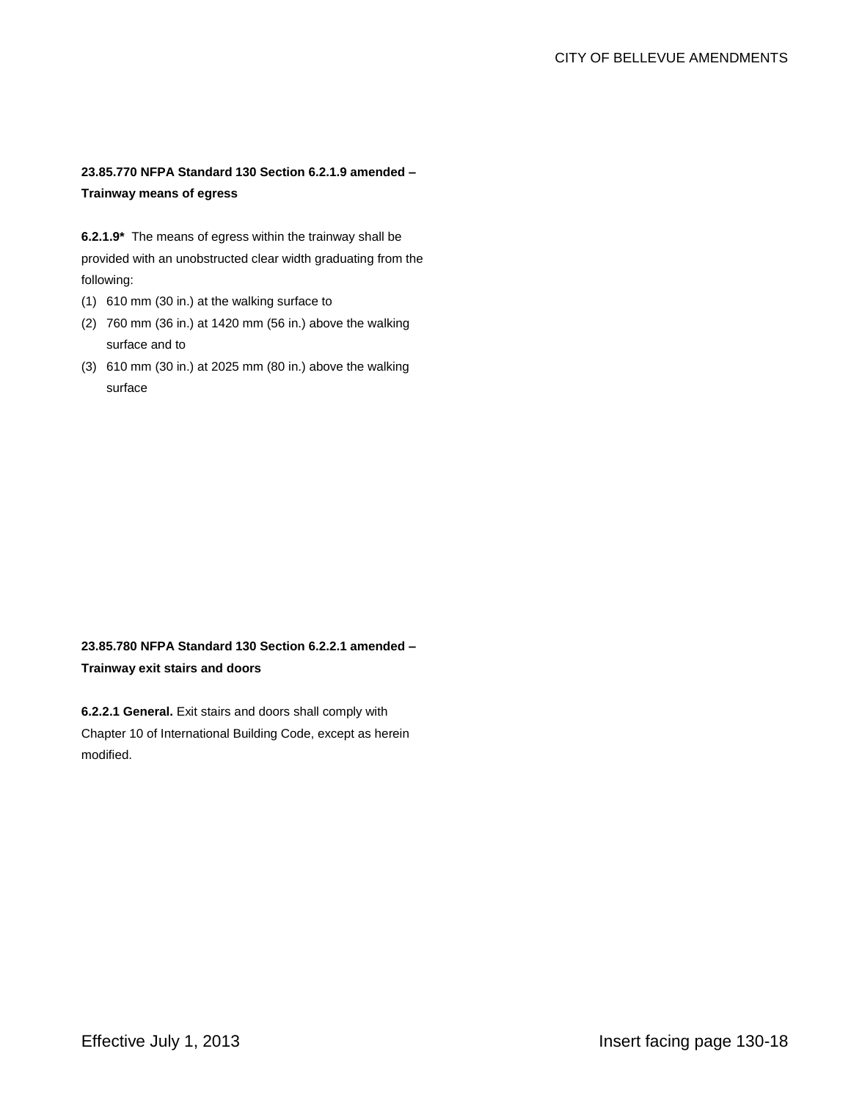## **23.85.770 NFPA Standard 130 Section 6.2.1.9 amended – Trainway means of egress**

**6.2.1.9\*** The means of egress within the trainway shall be provided with an unobstructed clear width graduating from the following:

- (1) 610 mm (30 in.) at the walking surface to
- (2) 760 mm (36 in.) at 1420 mm (56 in.) above the walking surface and to
- (3) 610 mm (30 in.) at 2025 mm (80 in.) above the walking surface

# **23.85.780 NFPA Standard 130 Section 6.2.2.1 amended – Trainway exit stairs and doors**

**6.2.2.1 General.** Exit stairs and doors shall comply with Chapter 10 of International Building Code, except as herein modified.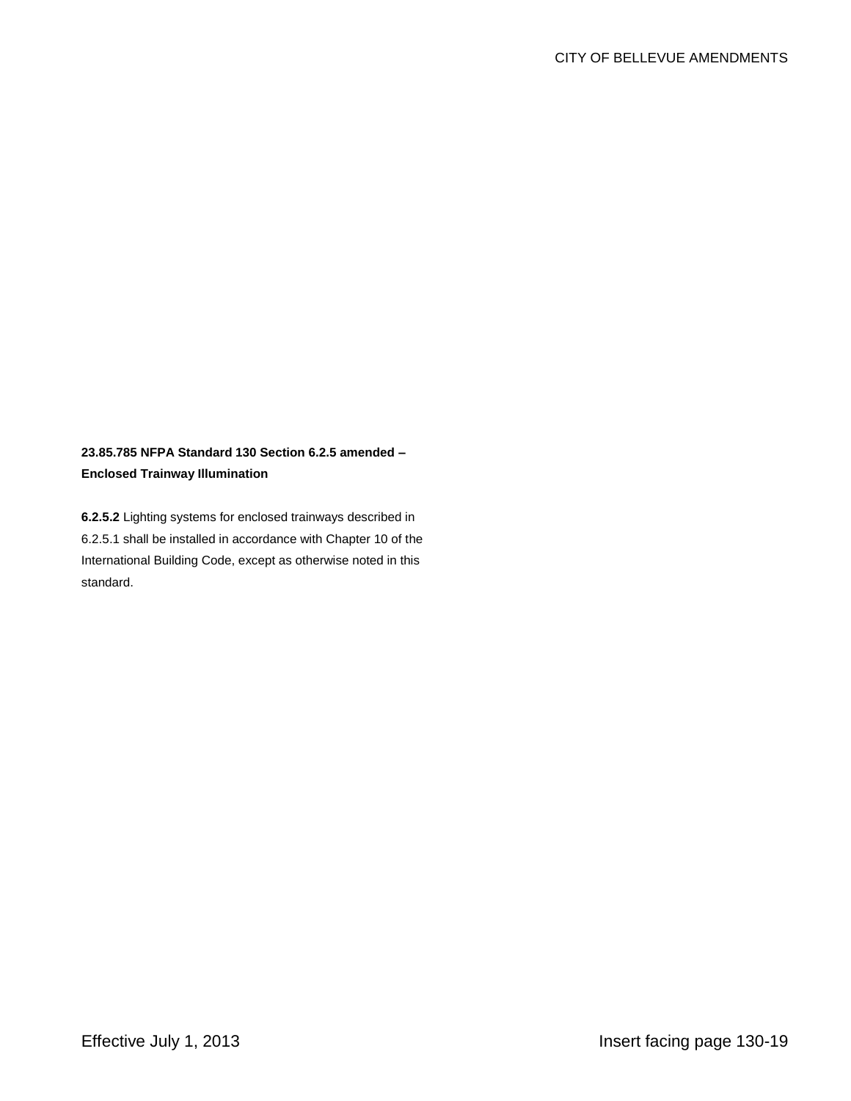# **23.85.785 NFPA Standard 130 Section 6.2.5 amended – Enclosed Trainway Illumination**

**6.2.5.2** Lighting systems for enclosed trainways described in 6.2.5.1 shall be installed in accordance with Chapter 10 of the International Building Code, except as otherwise noted in this standard.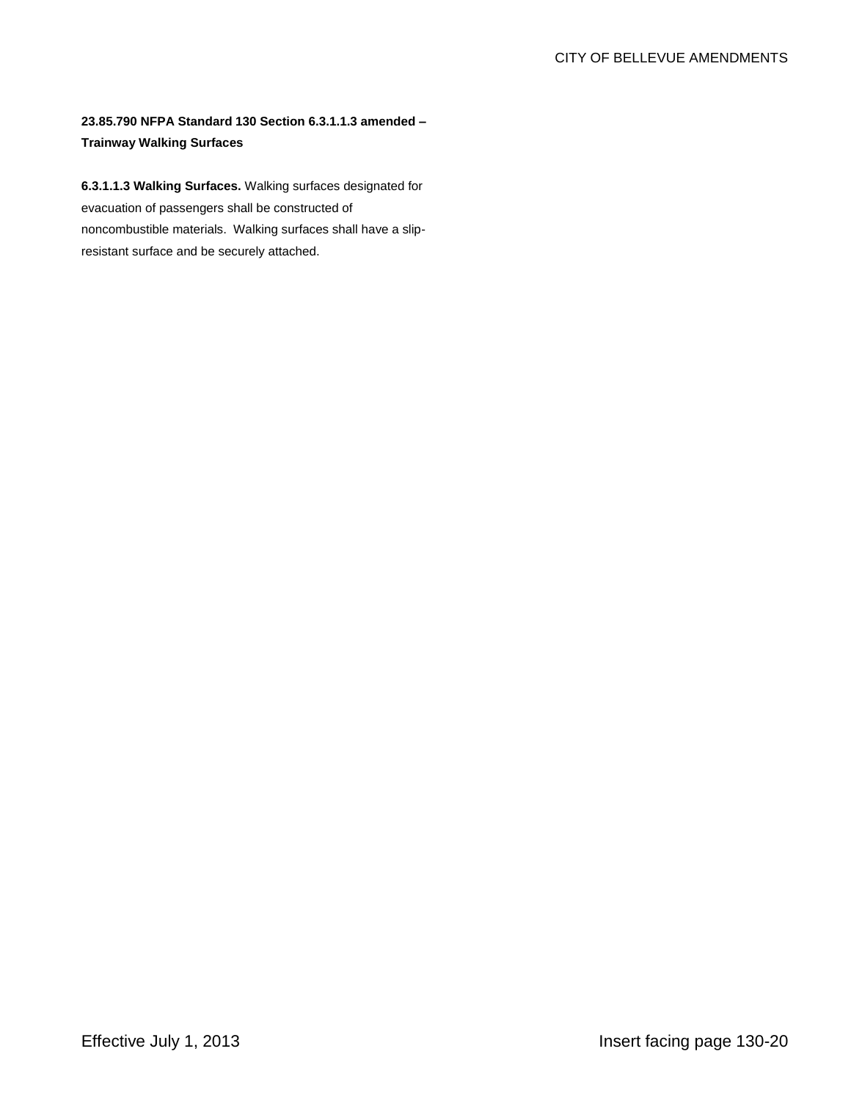### **23.85.790 NFPA Standard 130 Section 6.3.1.1.3 amended – Trainway Walking Surfaces**

**6.3.1.1.3 Walking Surfaces.** Walking surfaces designated for evacuation of passengers shall be constructed of noncombustible materials. Walking surfaces shall have a slipresistant surface and be securely attached.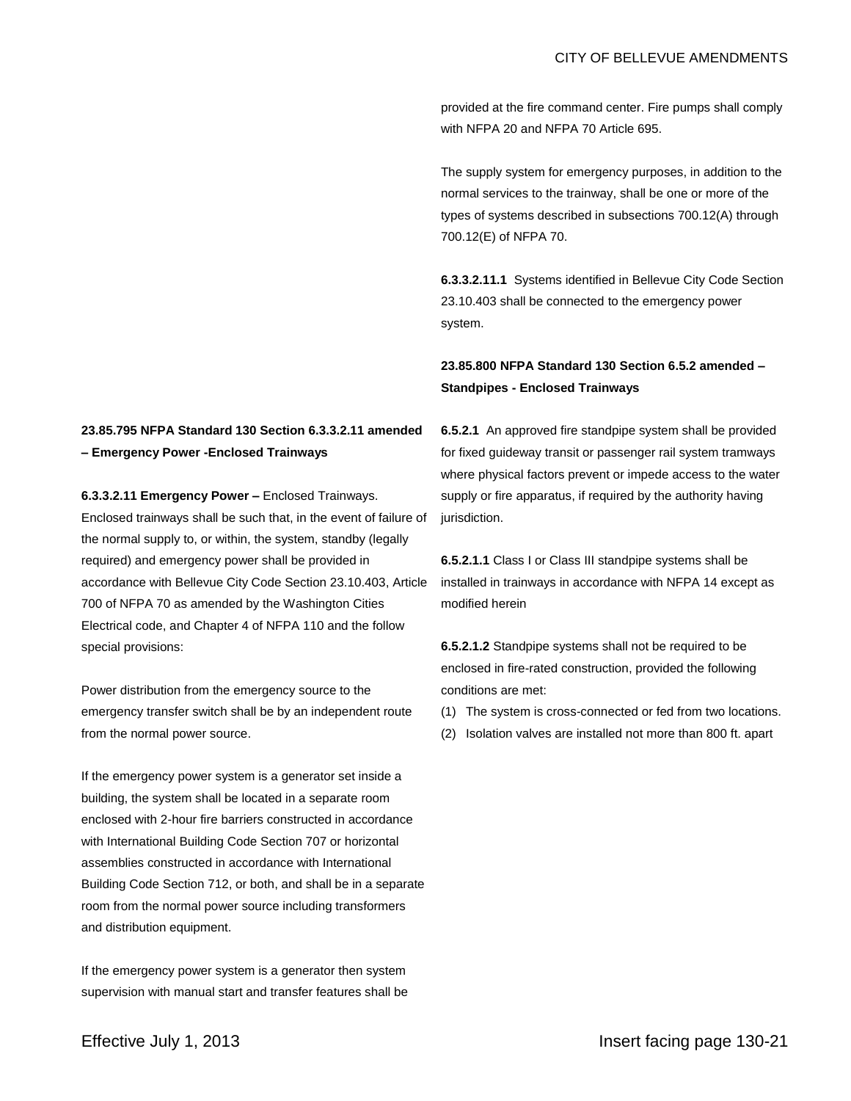#### CITY OF BELLEVUE AMENDMENTS

provided at the fire command center. Fire pumps shall comply with NFPA 20 and NFPA 70 Article 695.

The supply system for emergency purposes, in addition to the normal services to the trainway, shall be one or more of the types of systems described in subsections 700.12(A) through 700.12(E) of NFPA 70.

**6.3.3.2.11.1** Systems identified in Bellevue City Code Section 23.10.403 shall be connected to the emergency power system.

# **23.85.800 NFPA Standard 130 Section 6.5.2 amended – Standpipes - Enclosed Trainways**

# **23.85.795 NFPA Standard 130 Section 6.3.3.2.11 amended – Emergency Power -Enclosed Trainways**

**6.3.3.2.11 Emergency Power –** Enclosed Trainways. Enclosed trainways shall be such that, in the event of failure of the normal supply to, or within, the system, standby (legally required) and emergency power shall be provided in accordance with Bellevue City Code Section 23.10.403, Article 700 of NFPA 70 as amended by the Washington Cities Electrical code, and Chapter 4 of NFPA 110 and the follow special provisions:

Power distribution from the emergency source to the emergency transfer switch shall be by an independent route from the normal power source.

If the emergency power system is a generator set inside a building, the system shall be located in a separate room enclosed with 2-hour fire barriers constructed in accordance with International Building Code Section 707 or horizontal assemblies constructed in accordance with International Building Code Section 712, or both, and shall be in a separate room from the normal power source including transformers and distribution equipment.

If the emergency power system is a generator then system supervision with manual start and transfer features shall be **6.5.2.1** An approved fire standpipe system shall be provided for fixed guideway transit or passenger rail system tramways where physical factors prevent or impede access to the water supply or fire apparatus, if required by the authority having jurisdiction.

**6.5.2.1.1** Class I or Class III standpipe systems shall be installed in trainways in accordance with NFPA 14 except as modified herein

**6.5.2.1.2** Standpipe systems shall not be required to be enclosed in fire-rated construction, provided the following conditions are met:

- (1) The system is cross-connected or fed from two locations.
- (2) Isolation valves are installed not more than 800 ft. apart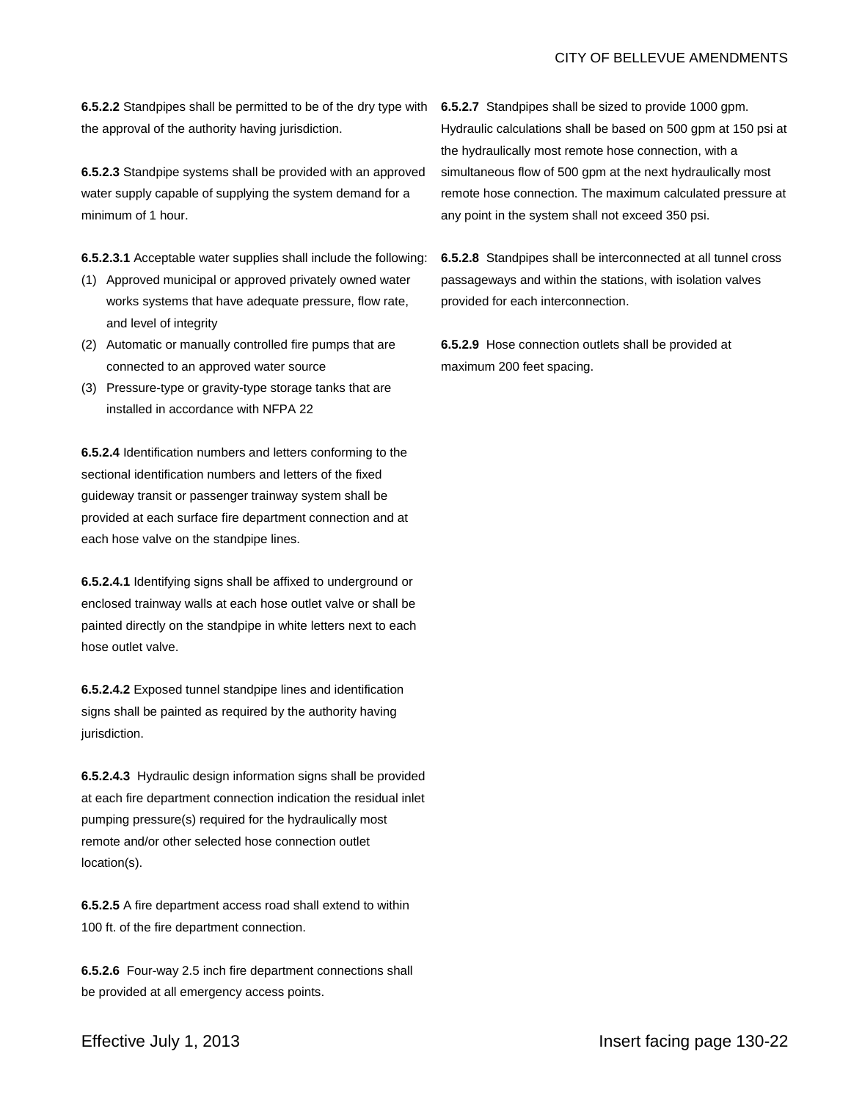**6.5.2.2** Standpipes shall be permitted to be of the dry type with the approval of the authority having jurisdiction.

**6.5.2.3** Standpipe systems shall be provided with an approved water supply capable of supplying the system demand for a minimum of 1 hour.

**6.5.2.3.1** Acceptable water supplies shall include the following:

- (1) Approved municipal or approved privately owned water works systems that have adequate pressure, flow rate, and level of integrity
- (2) Automatic or manually controlled fire pumps that are connected to an approved water source
- (3) Pressure-type or gravity-type storage tanks that are installed in accordance with NFPA 22

**6.5.2.4** Identification numbers and letters conforming to the sectional identification numbers and letters of the fixed guideway transit or passenger trainway system shall be provided at each surface fire department connection and at each hose valve on the standpipe lines.

**6.5.2.4.1** Identifying signs shall be affixed to underground or enclosed trainway walls at each hose outlet valve or shall be painted directly on the standpipe in white letters next to each hose outlet valve.

**6.5.2.4.2** Exposed tunnel standpipe lines and identification signs shall be painted as required by the authority having jurisdiction.

**6.5.2.4.3** Hydraulic design information signs shall be provided at each fire department connection indication the residual inlet pumping pressure(s) required for the hydraulically most remote and/or other selected hose connection outlet location(s).

**6.5.2.5** A fire department access road shall extend to within 100 ft. of the fire department connection.

**6.5.2.6** Four-way 2.5 inch fire department connections shall be provided at all emergency access points.

**6.5.2.7** Standpipes shall be sized to provide 1000 gpm. Hydraulic calculations shall be based on 500 gpm at 150 psi at the hydraulically most remote hose connection, with a simultaneous flow of 500 gpm at the next hydraulically most remote hose connection. The maximum calculated pressure at any point in the system shall not exceed 350 psi.

**6.5.2.8** Standpipes shall be interconnected at all tunnel cross passageways and within the stations, with isolation valves provided for each interconnection.

**6.5.2.9** Hose connection outlets shall be provided at maximum 200 feet spacing.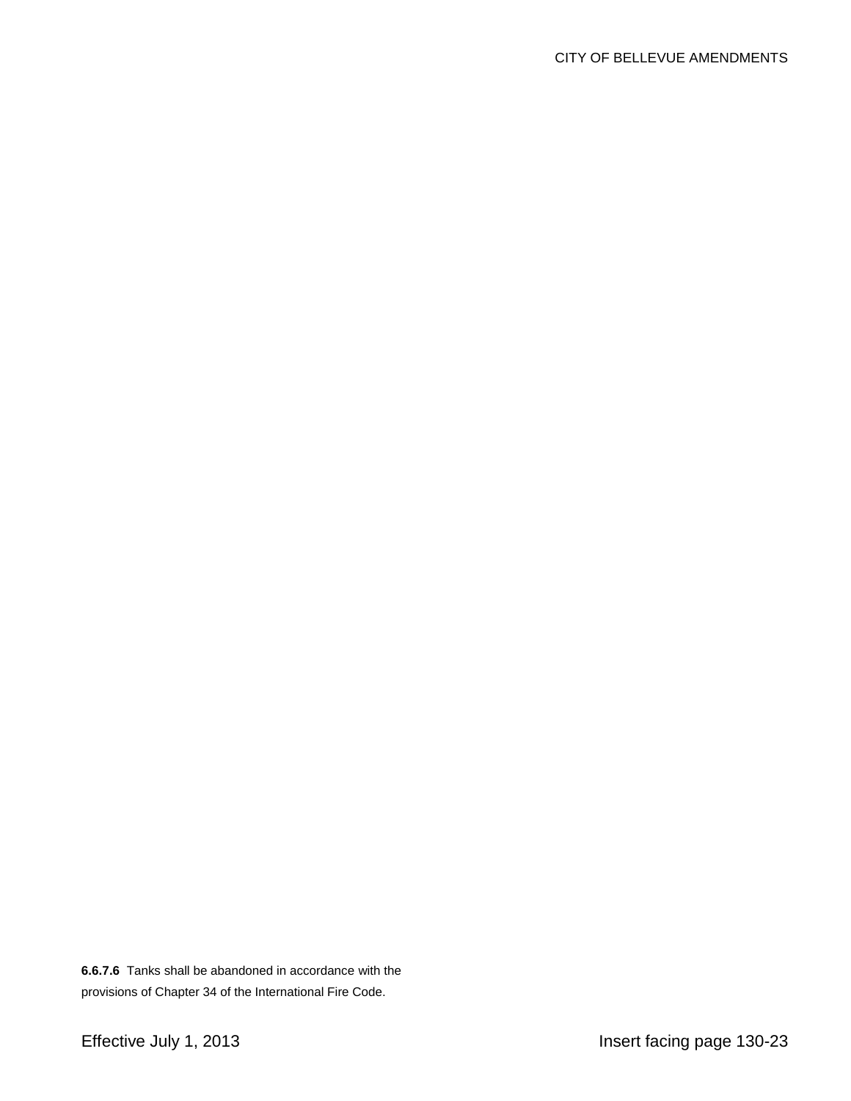**6.6.7.6** Tanks shall be abandoned in accordance with the provisions of Chapter 34 of the International Fire Code.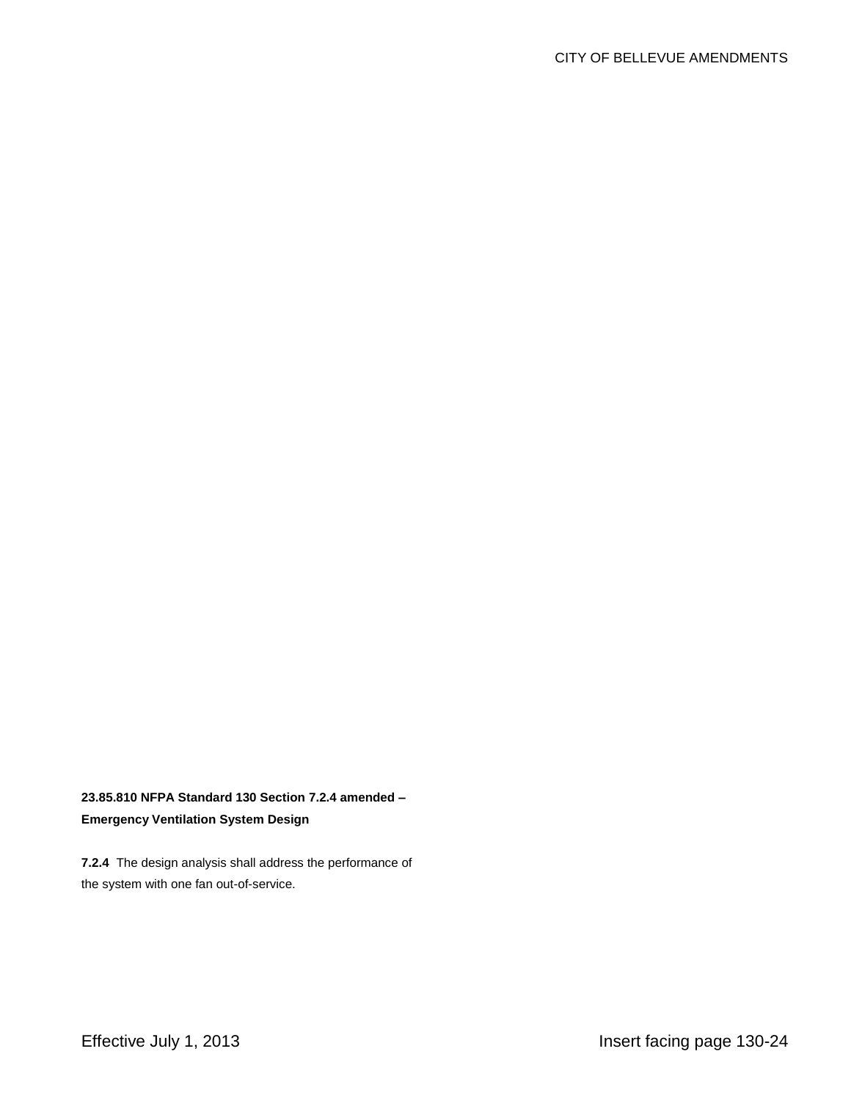# **23.85.810 NFPA Standard 130 Section 7.2.4 amended – Emergency Ventilation System Design**

**7.2.4** The design analysis shall address the performance of the system with one fan out-of-service.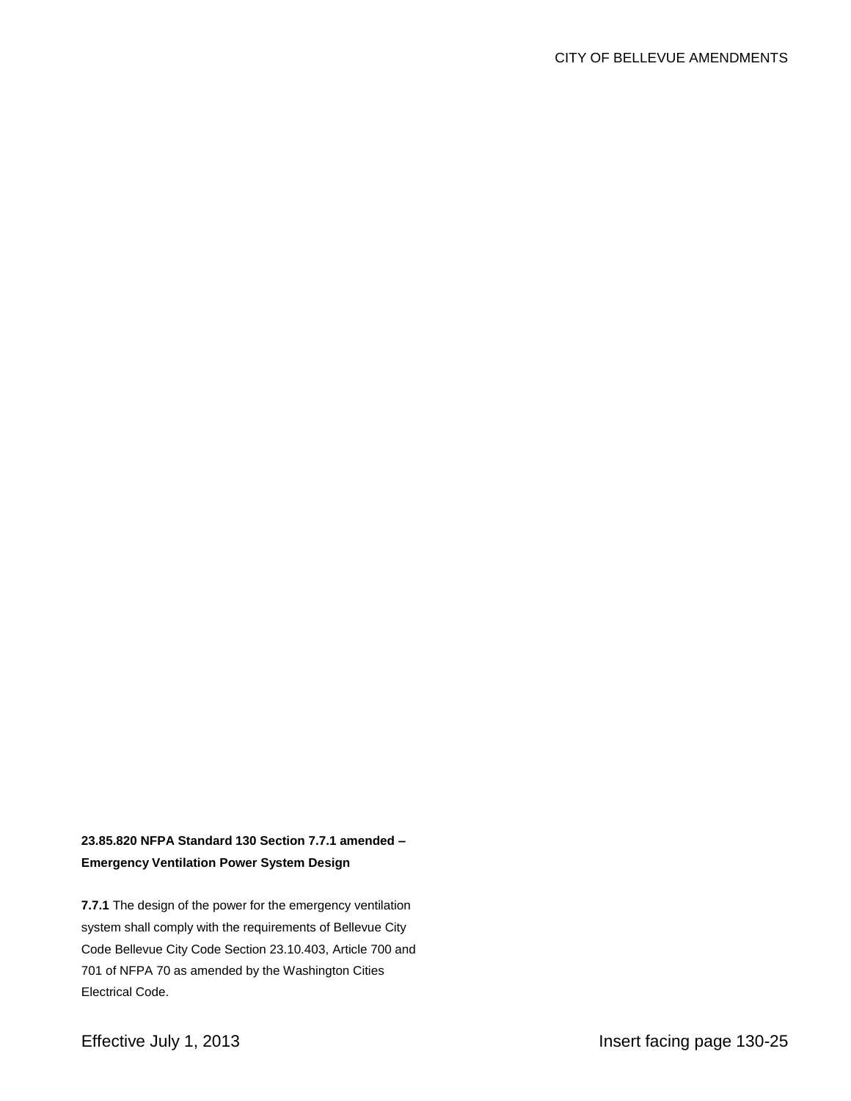# **23.85.820 NFPA Standard 130 Section 7.7.1 amended – Emergency Ventilation Power System Design**

**7.7.1** The design of the power for the emergency ventilation system shall comply with the requirements of Bellevue City Code Bellevue City Code Section 23.10.403, Article 700 and 701 of NFPA 70 as amended by the Washington Cities Electrical Code.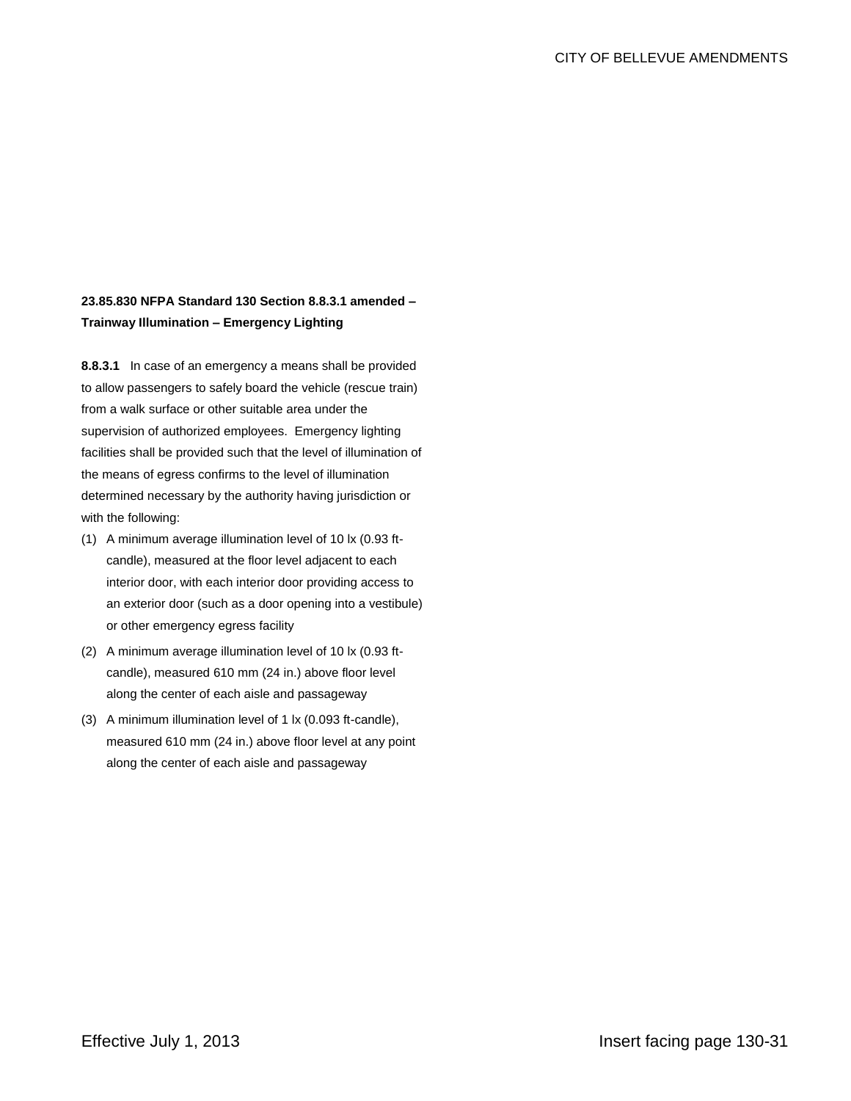#### **23.85.830 NFPA Standard 130 Section 8.8.3.1 amended – Trainway Illumination – Emergency Lighting**

**8.8.3.1** In case of an emergency a means shall be provided to allow passengers to safely board the vehicle (rescue train) from a walk surface or other suitable area under the supervision of authorized employees. Emergency lighting facilities shall be provided such that the level of illumination of the means of egress confirms to the level of illumination determined necessary by the authority having jurisdiction or with the following:

- (1) A minimum average illumination level of 10 lx (0.93 ftcandle), measured at the floor level adjacent to each interior door, with each interior door providing access to an exterior door (such as a door opening into a vestibule) or other emergency egress facility
- (2) A minimum average illumination level of 10 lx (0.93 ftcandle), measured 610 mm (24 in.) above floor level along the center of each aisle and passageway
- (3) A minimum illumination level of 1 lx (0.093 ft-candle), measured 610 mm (24 in.) above floor level at any point along the center of each aisle and passageway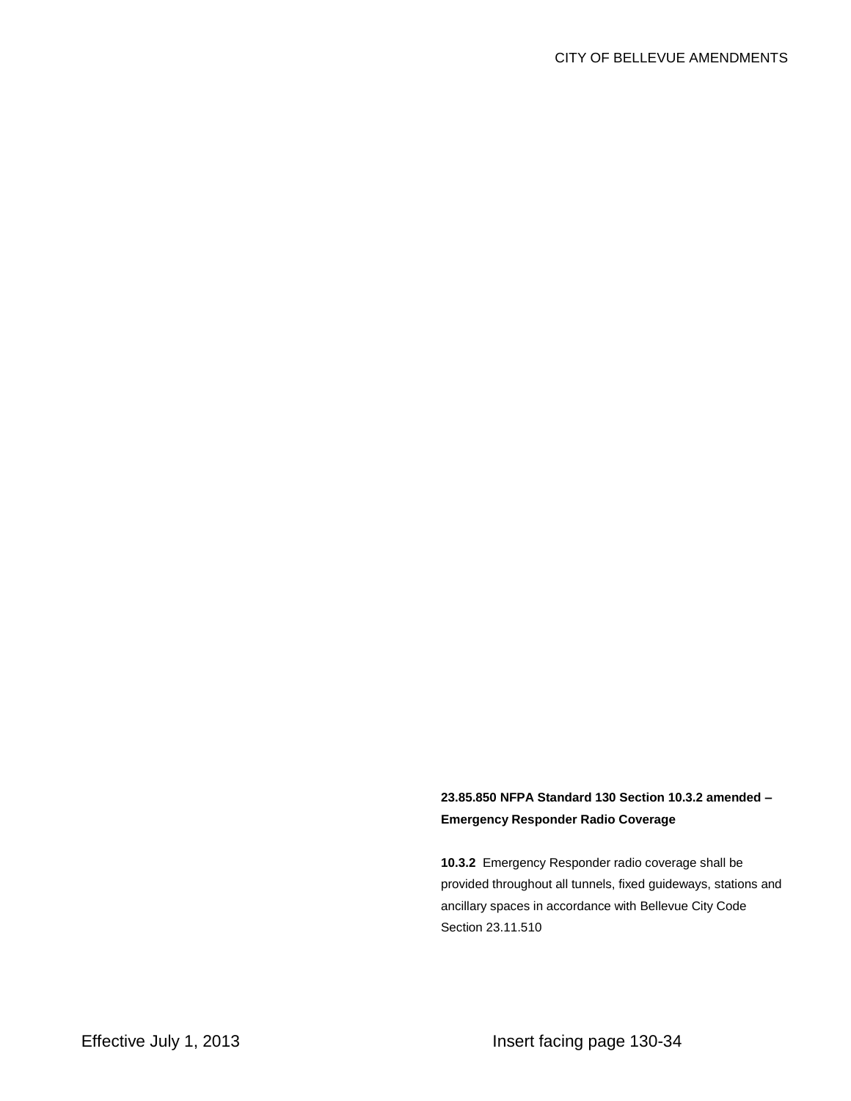# **23.85.850 NFPA Standard 130 Section 10.3.2 amended – Emergency Responder Radio Coverage**

**10.3.2** Emergency Responder radio coverage shall be provided throughout all tunnels, fixed guideways, stations and ancillary spaces in accordance with Bellevue City Code Section 23.11.510